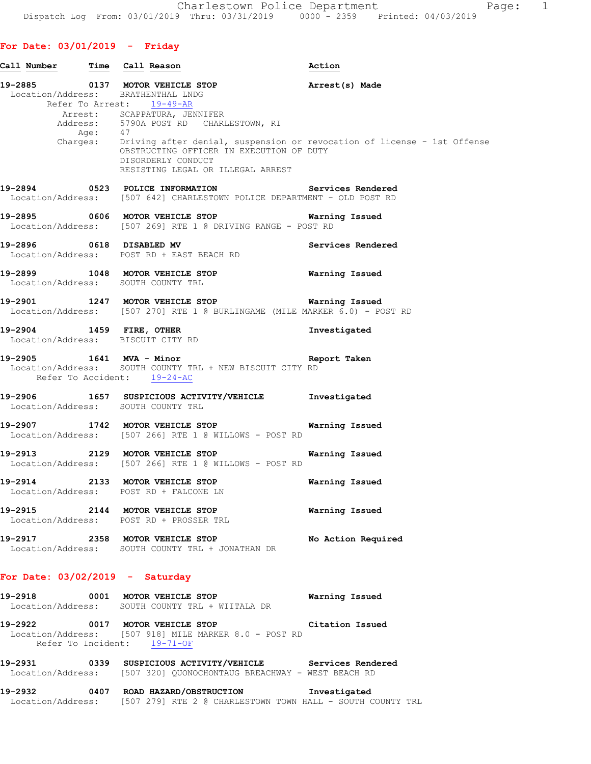## **For Date: 03/01/2019 - Friday**

| Call Number Time Call Reason      |                                                                                                                                                                                                            | Action                                                                                                                                                 |
|-----------------------------------|------------------------------------------------------------------------------------------------------------------------------------------------------------------------------------------------------------|--------------------------------------------------------------------------------------------------------------------------------------------------------|
|                                   | 19-2885 0137 MOTOR VEHICLE STOP <b>Arrest</b> (s) Made<br>Location/Address: BRATHENTHAL LNDG                                                                                                               |                                                                                                                                                        |
|                                   | Refer To Arrest: 19-49-AR<br>Arrest: SCAPPATURA, JENNIFER<br>Address: 5790A POST RD CHARLESTOWN, RI<br>OBSTRUCTING OFFICER IN EXECUTION OF DUTY<br>DISORDERLY CONDUCT<br>RESISTING LEGAL OR ILLEGAL ARREST | Age: 47<br>Charges: 47<br>Charges: Driving after denial, suspension or revocation of license - 1st Offense<br>OBSTRUCTING OFFICER IN EXECUTION OF DUTY |
|                                   | 19-2894 0523 POLICE INFORMATION Services Rendered<br>Location/Address: [507 642] CHARLESTOWN POLICE DEPARTMENT - OLD POST RD                                                                               |                                                                                                                                                        |
|                                   | 19-2895 0606 MOTOR VEHICLE STOP <b>Warning Issued</b><br>Location/Address: [507 269] RTE 1 @ DRIVING RANGE - POST RD                                                                                       |                                                                                                                                                        |
|                                   | 19-2896 0618 DISABLED MV<br>Location/Address: POST RD + EAST BEACH RD                                                                                                                                      | Services Rendered                                                                                                                                      |
|                                   | 19-2899 1048 MOTOR VEHICLE STOP <b>WATER</b> Warning Issued<br>Location/Address: SOUTH COUNTY TRL                                                                                                          |                                                                                                                                                        |
|                                   | 19-2901 1247 MOTOR VEHICLE STOP 6 Warning Issued<br>Location/Address: [507 270] RTE 1 @ BURLINGAME (MILE MARKER 6.0) - POST RD                                                                             |                                                                                                                                                        |
|                                   | 19-2904 1459 FIRE, OTHER<br>Location/Address: BISCUIT CITY RD                                                                                                                                              | Investigated                                                                                                                                           |
|                                   | 19-2905 1641 MVA - Minor<br>Location/Address: SOUTH COUNTY TRL + NEW BISCUIT CITY RD<br>Refer To Accident: 19-24-AC                                                                                        | Report Taken                                                                                                                                           |
|                                   | 19-2906 1657 SUSPICIOUS ACTIVITY/VEHICLE Investigated<br>Location/Address: SOUTH COUNTY TRL                                                                                                                |                                                                                                                                                        |
|                                   | 19-2907 1742 MOTOR VEHICLE STOP<br>Location/Address: [507 266] RTE 1 @ WILLOWS - POST RD                                                                                                                   | Warning Issued                                                                                                                                         |
|                                   | 19-2913 2129 MOTOR VEHICLE STOP<br>Location/Address: [507 266] RTE 1 @ WILLOWS - POST RD                                                                                                                   | Warning Issued                                                                                                                                         |
|                                   | 19-2914 2133 MOTOR VEHICLE STOP<br>Location/Address: POST RD + FALCONE LN                                                                                                                                  | Warning Issued                                                                                                                                         |
|                                   | 19-2915 2144 MOTOR VEHICLE STOP<br>Location/Address: POST RD + PROSSER TRL                                                                                                                                 | Warning Issued                                                                                                                                         |
|                                   | 19-2917 2358 MOTOR VEHICLE STOP<br>Location/Address: SOUTH COUNTY TRL + JONATHAN DR                                                                                                                        | No Action Required                                                                                                                                     |
| For Date: $03/02/2019$ - Saturday |                                                                                                                                                                                                            |                                                                                                                                                        |
| 19-2918                           | 0001 MOTOR VEHICLE STOP<br>Location/Address: SOUTH COUNTY TRL + WIITALA DR                                                                                                                                 | Warning Issued                                                                                                                                         |

**19-2922 0017 MOTOR VEHICLE STOP Citation Issued**  Location/Address: [507 918] MILE MARKER 8.0 - POST RD Refer To Incident: 19-71-OF

**19-2931 0339 SUSPICIOUS ACTIVITY/VEHICLE Services Rendered**  Location/Address: [507 320] QUONOCHONTAUG BREACHWAY - WEST BEACH RD

**19-2932 0407 ROAD HAZARD/OBSTRUCTION Investigated**  Location/Address: [507 279] RTE 2 @ CHARLESTOWN TOWN HALL - SOUTH COUNTY TRL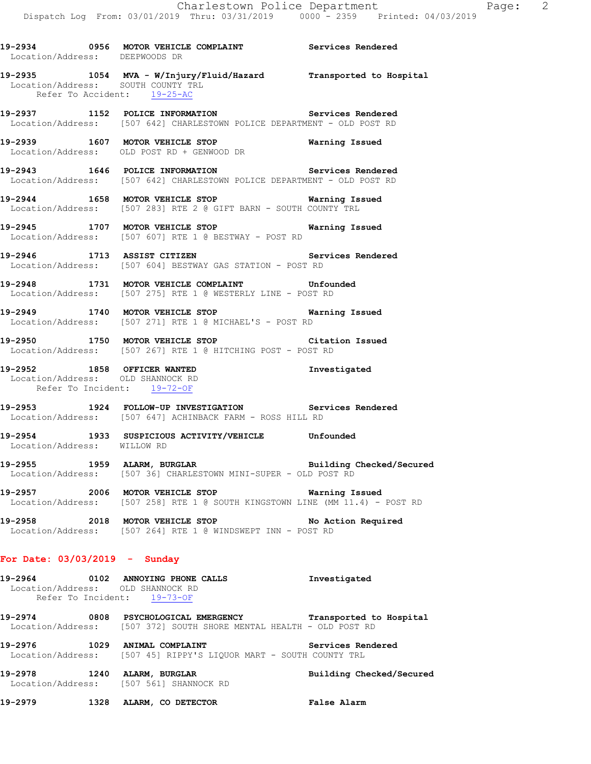**19-2934 0956 MOTOR VEHICLE COMPLAINT Services Rendered**  Location/Address: DEEPWOODS DR **19-2935 1054 MVA - W/Injury/Fluid/Hazard Transported to Hospital**  Location/Address: SOUTH COUNTY TRL Refer To Accident: 19-25-AC **19-2937 1152 POLICE INFORMATION Services Rendered**  Location/Address: [507 642] CHARLESTOWN POLICE DEPARTMENT - OLD POST RD **19-2939 1607 MOTOR VEHICLE STOP Warning Issued**  Location/Address: OLD POST RD + GENWOOD DR **19-2943 1646 POLICE INFORMATION Services Rendered**  Location/Address: [507 642] CHARLESTOWN POLICE DEPARTMENT - OLD POST RD **19-2944 1658 MOTOR VEHICLE STOP Warning Issued**  Location/Address: [507 283] RTE 2 @ GIFT BARN - SOUTH COUNTY TRL **19-2945 1707 MOTOR VEHICLE STOP Warning Issued**  Location/Address: [507 607] RTE 1 @ BESTWAY - POST RD **19-2946 1713 ASSIST CITIZEN Services Rendered**  Location/Address: [507 604] BESTWAY GAS STATION - POST RD **19-2948 1731 MOTOR VEHICLE COMPLAINT Unfounded**  Location/Address: [507 275] RTE 1 @ WESTERLY LINE - POST RD **19-2949 1740 MOTOR VEHICLE STOP Warning Issued**  Location/Address: [507 271] RTE 1 @ MICHAEL'S - POST RD **19-2950 1750 MOTOR VEHICLE STOP Citation Issued**  Location/Address: [507 267] RTE 1 @ HITCHING POST - POST RD **19-2952 1858 OFFICER WANTED Investigated**  Location/Address: OLD SHANNOCK RD Refer To Incident: 19-72-OF **19-2953 1924 FOLLOW-UP INVESTIGATION Services Rendered**  Location/Address: [507 647] ACHINBACK FARM - ROSS HILL RD **19-2954 1933 SUSPICIOUS ACTIVITY/VEHICLE Unfounded**  Location/Address: WILLOW RD **19-2955 1959 ALARM, BURGLAR Building Checked/Secured**  Location/Address: [507 36] CHARLESTOWN MINI-SUPER - OLD POST RD **19-2957 2006 MOTOR VEHICLE STOP Warning Issued**  Location/Address: [507 258] RTE 1 @ SOUTH KINGSTOWN LINE (MM 11.4) - POST RD **19-2958 2018 MOTOR VEHICLE STOP No Action Required**  Location/Address: [507 264] RTE 1 @ WINDSWEPT INN - POST RD **For Date: 03/03/2019 - Sunday 19-2964 0102 ANNOYING PHONE CALLS Investigated**  Location/Address: OLD SHANNOCK RD Refer To Incident: 19-73-OF **19-2974 0808 PSYCHOLOGICAL EMERGENCY Transported to Hospital**  Location/Address: [507 372] SOUTH SHORE MENTAL HEALTH - OLD POST RD **19-2976 1029 ANIMAL COMPLAINT Services Rendered**  Location/Address: [507 45] RIPPY'S LIQUOR MART - SOUTH COUNTY TRL **19-2978 1240 ALARM, BURGLAR Building Checked/Secured**  Location/Address: [507 561] SHANNOCK RD

**19-2979 1328 ALARM, CO DETECTOR False Alarm**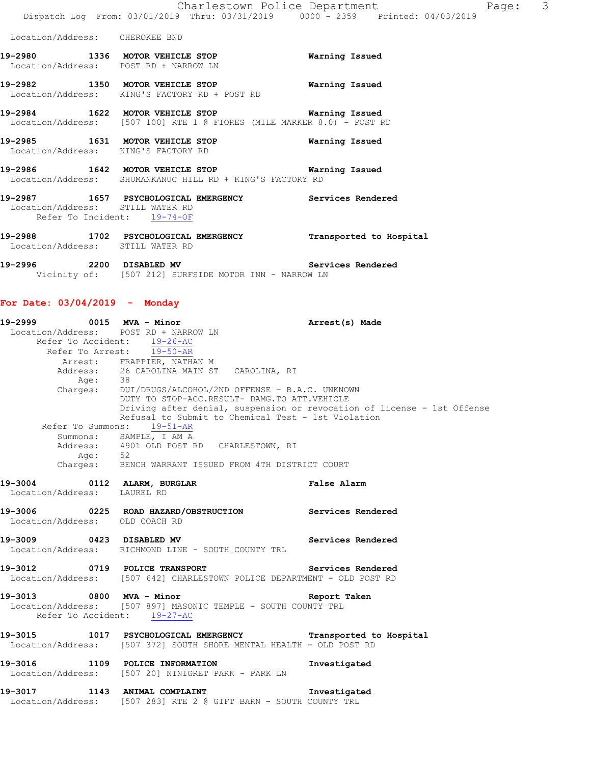|                                                                                                                                 | Charlestown Police Department |                                                                                | Page: 3 |  |
|---------------------------------------------------------------------------------------------------------------------------------|-------------------------------|--------------------------------------------------------------------------------|---------|--|
|                                                                                                                                 |                               | Dispatch Log From: 03/01/2019 Thru: 03/31/2019 0000 - 2359 Printed: 04/03/2019 |         |  |
| Location/Address: CHEROKEE BND                                                                                                  |                               |                                                                                |         |  |
| 19-2980 1336 MOTOR VEHICLE STOP<br>Location/Address: POST RD + NARROW LN                                                        |                               | Warning Issued                                                                 |         |  |
| 19-2982 1350 MOTOR VEHICLE STOP<br>Location/Address: KING'S FACTORY RD + POST RD                                                |                               | Warning Issued                                                                 |         |  |
| 19-2984 1622 MOTOR VEHICLE STOP <b>Warning Issued</b><br>Location/Address: [507 100] RTE 1 @ FIORES (MILE MARKER 8.0) - POST RD |                               |                                                                                |         |  |
| 19-2985 1631 MOTOR VEHICLE STOP<br>Location/Address: KING'S FACTORY RD                                                          |                               | Warning Issued                                                                 |         |  |
| 19-2986 1642 MOTOR VEHICLE STOP <b>Warning Issued</b><br>Location/Address: SHUMANKANUC HILL RD + KING'S FACTORY RD              |                               |                                                                                |         |  |
| 19-2987 1657 PSYCHOLOGICAL EMERGENCY Services Rendered<br>Location/Address: STILL WATER RD<br>Refer To Incident: 19-74-OF       |                               |                                                                                |         |  |
| 19-2988 1702 PSYCHOLOGICAL EMERGENCY<br>Location/Address: STILL WATER RD                                                        |                               | Transported to Hospital                                                        |         |  |

**19-2996 2200 DISABLED MV Services Rendered**  Vicinity of: [507 212] SURFSIDE MOTOR INN - NARROW LN

## **For Date: 03/04/2019 - Monday**

| 19-2999 0015 MVA - Minor       | Arrest(s) Made                                                                  |                                                                         |
|--------------------------------|---------------------------------------------------------------------------------|-------------------------------------------------------------------------|
|                                | Location/Address: POST RD + NARROW LN                                           |                                                                         |
|                                | Refer To Accident: 19-26-AC                                                     |                                                                         |
|                                | Refer To Arrest: $\frac{19-50-AR}{1}$                                           |                                                                         |
|                                | Arrest: FRAPPIER, NATHAN M                                                      |                                                                         |
|                                | Address: 26 CAROLINA MAIN ST CAROLINA, RI                                       |                                                                         |
|                                | Age: 38<br>Charges: DUI/DRUGS/ALCOHOL/2ND OFFENSE - B.A.C. UNKNOWN              |                                                                         |
|                                | DUTY TO STOP-ACC.RESULT- DAMG.TO ATT.VEHICLE                                    |                                                                         |
|                                |                                                                                 | Driving after denial, suspension or revocation of license - 1st Offense |
|                                | Refusal to Submit to Chemical Test - 1st Violation                              |                                                                         |
|                                | Refer To Summons: 19-51-AR                                                      |                                                                         |
|                                | Summons: SAMPLE, I AM A<br>Address: 4901 OLD POST RD CHARLESTOWN, RI<br>Age: 52 |                                                                         |
|                                |                                                                                 |                                                                         |
|                                |                                                                                 |                                                                         |
|                                | Charges: BENCH WARRANT ISSUED FROM 4TH DISTRICT COURT                           |                                                                         |
|                                | 19-3004 0112 ALARM, BURGLAR<br>Location/Address: LAUREL RD                      | <b>False Alarm</b>                                                      |
|                                |                                                                                 |                                                                         |
|                                | 19-3006 60225 ROAD HAZARD/OBSTRUCTION Services Rendered                         |                                                                         |
| Location/Address: OLD COACH RD |                                                                                 |                                                                         |
|                                | 19-3009 0423 DISABLED MV 30 Services Rendered                                   |                                                                         |
|                                | Location/Address: RICHMOND LINE - SOUTH COUNTY TRL                              |                                                                         |
|                                | 19-3012 0719 POLICE TRANSPORT Services Rendered                                 |                                                                         |
|                                | Location/Address: [507 642] CHARLESTOWN POLICE DEPARTMENT - OLD POST RD         |                                                                         |
|                                | 19-3013 0800 MVA - Minor <b>Manuel Accord Report Taken</b>                      |                                                                         |
|                                | Location/Address: [507 897] MASONIC TEMPLE - SOUTH COUNTY TRL                   |                                                                         |
|                                | Refer To Accident: 19-27-AC                                                     |                                                                         |
|                                | 19-3015 1017 PSYCHOLOGICAL EMERGENCY Transported to Hospital                    |                                                                         |
|                                | Location/Address: [507 372] SOUTH SHORE MENTAL HEALTH - OLD POST RD             |                                                                         |
|                                | 19-3016 1109 POLICE INFORMATION                                                 | Investigated                                                            |
|                                | Location/Address: [507 20] NINIGRET PARK - PARK LN                              |                                                                         |
|                                | 19-3017 1143 ANIMAL COMPLAINT                                                   | Investigated                                                            |
|                                | Location/Address: [507 283] RTE 2 @ GIFT BARN - SOUTH COUNTY TRL                |                                                                         |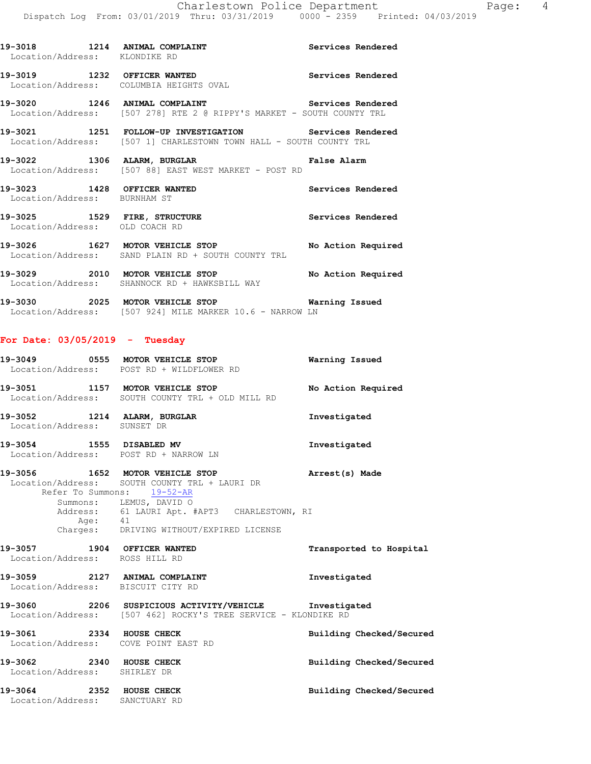| Location/Address: KLONDIKE RD                               | 19-3018 1214 ANIMAL COMPLAINT Services Rendered                                                                              |                    |
|-------------------------------------------------------------|------------------------------------------------------------------------------------------------------------------------------|--------------------|
|                                                             | 19-3019 1232 OFFICER WANTED Services Rendered<br>Location/Address: COLUMBIA HEIGHTS OVAL                                     |                    |
|                                                             | 19-3020 1246 ANIMAL COMPLAINT Services Rendered<br>Location/Address: [507 278] RTE 2 @ RIPPY'S MARKET - SOUTH COUNTY TRL     |                    |
|                                                             | 19-3021 1251 FOLLOW-UP INVESTIGATION Services Rendered<br>Location/Address: [507 1] CHARLESTOWN TOWN HALL - SOUTH COUNTY TRL |                    |
|                                                             | 19-3022 1306 ALARM, BURGLAR NERRES PALAEM RAISE Alarm<br>Location/Address: [507 88] EAST WEST MARKET - POST RD               |                    |
| 19-3023 1428 OFFICER WANTED<br>Location/Address: BURNHAM ST |                                                                                                                              | Services Rendered  |
| Location/Address: OLD COACH RD                              | 19-3025 1529 FIRE, STRUCTURE 1990 Services Rendered                                                                          |                    |
|                                                             | 19-3026 1627 MOTOR VEHICLE STOP<br>Location/Address: SAND PLAIN RD + SOUTH COUNTY TRL                                        | No Action Required |
|                                                             | 19-3029 2010 MOTOR VEHICLE STOP<br>Location/Address: SHANNOCK RD + HAWKSBILL WAY                                             | No Action Required |

**19-3030 2025 MOTOR VEHICLE STOP Warning Issued**  Location/Address: [507 924] MILE MARKER 10.6 - NARROW LN

## **For Date: 03/05/2019 - Tuesday**

| 19-3049 |      | 0555 MOTOR VEHICLE STOP<br>Location/Address: POST RD + WILDFLOWER RD | Warning Issued     |  |
|---------|------|----------------------------------------------------------------------|--------------------|--|
| 19–3051 | 1157 | MOTOR VEHICLE STOP                                                   | No Action Required |  |
|         |      | Location/Address: SOUTH COUNTY TRL + OLD MILL RD                     |                    |  |

- **19-3052 1214 ALARM, BURGLAR Investigated**  Location/Address: SUNSET DR
- **19-3054 1555 DISABLED MV Investigated**  Location/Address: POST RD + NARROW LN
- **19-3056 1652 MOTOR VEHICLE STOP Arrest(s) Made**  Location/Address: SOUTH COUNTY TRL + LAURI DR Refer To Summons: 19-52-AR Summons: LEMUS, DAVID O Address: 61 LAURI Apt. #APT3 CHARLESTOWN, RI Age: 41 Charges: DRIVING WITHOUT/EXPIRED LICENSE
- **19-3057 1904 OFFICER WANTED Transported to Hospital**  Location/Address: ROSS HILL RD **19-3059 2127 ANIMAL COMPLAINT Investigated**  Location/Address: BISCUIT CITY RD **19-3060 2206 SUSPICIOUS ACTIVITY/VEHICLE Investigated**  Location/Address: [507 462] ROCKY'S TREE SERVICE - KLONDIKE RD **19-3061 2334 HOUSE CHECK Building Checked/Secured**  Location/Address: COVE POINT EAST RD

**19-3062 2340 HOUSE CHECK Building Checked/Secured**  Location/Address: SHIRLEY DR **19-3064 2352 HOUSE CHECK Building Checked/Secured**  Location/Address: SANCTUARY RD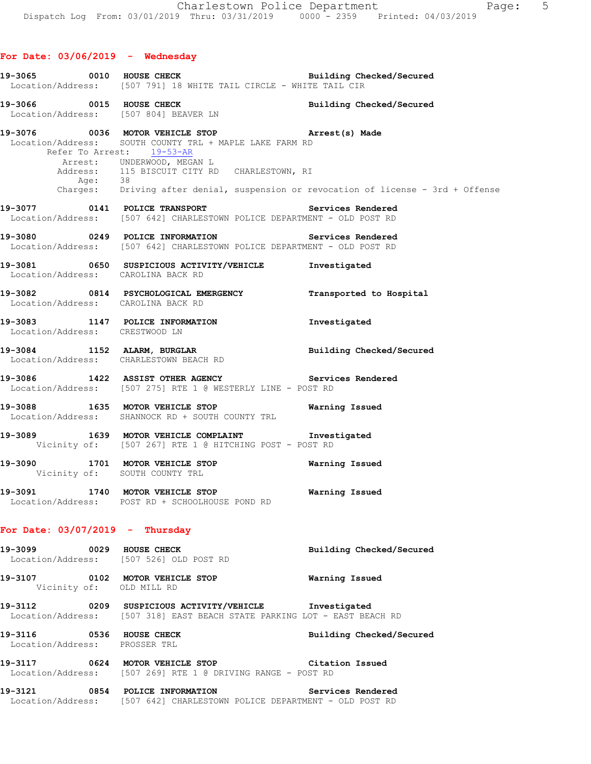**For Date: 03/06/2019 - Wednesday**

| 19-3065 0010 HOUSE CHECK           | Location/Address: [507 791] 18 WHITE TAIL CIRCLE - WHITE TAIL CIR                                                                    | Building Checked/Secured                                                           |
|------------------------------------|--------------------------------------------------------------------------------------------------------------------------------------|------------------------------------------------------------------------------------|
|                                    | Notion Address: [507 804] BEAVER LN Building Checked/Secured                                                                         |                                                                                    |
| Refer To Arrest: 19-53-AR          | 19-3076 0036 MOTOR VEHICLE STOP <b>Example 2018</b> Arrest(s) Made<br>Location/Address: SOUTH COUNTY TRL + MAPLE LAKE FARM RD        |                                                                                    |
| Age:                               | Arrest: UNDERWOOD, MEGAN L<br>Address: 115 BISCUIT CITY RD CHARLESTOWN, RI<br>38                                                     |                                                                                    |
|                                    |                                                                                                                                      | Charges: Driving after denial, suspension or revocation of license - 3rd + Offense |
|                                    | 19-3077 0141 POLICE TRANSPORT Services Rendered<br>Location/Address: [507 642] CHARLESTOWN POLICE DEPARTMENT - OLD POST RD           |                                                                                    |
|                                    | 19-3080 			 0249 POLICE INFORMATION 			 Services Rendered<br>Location/Address: [507 642] CHARLESTOWN POLICE DEPARTMENT - OLD POST RD |                                                                                    |
| Location/Address: CAROLINA BACK RD | 19-3081 0650 SUSPICIOUS ACTIVITY/VEHICLE Investigated                                                                                |                                                                                    |
| Location/Address: CAROLINA BACK RD | 19-3082 0814 PSYCHOLOGICAL EMERGENCY Transported to Hospital                                                                         |                                                                                    |
| Location/Address: CRESTWOOD LN     | 19-3083 1147 POLICE INFORMATION 10-3083                                                                                              |                                                                                    |
|                                    | 19-3084 1152 ALARM, BURGLAR BURGLAR Building Checked/Secured<br>Location/Address: CHARLESTOWN BEACH RD                               |                                                                                    |
|                                    | 19-3086 1422 ASSIST OTHER AGENCY<br>Location/Address: [507 275] RTE 1 @ WESTERLY LINE - POST RD                                      | Services Rendered                                                                  |
|                                    | Location/Address: SHANNOCK RD + SOUTH COUNTY TRL                                                                                     |                                                                                    |
|                                    | 19-3089 1639 MOTOR VEHICLE COMPLAINT Threstigated<br>Vicinity of: [507 267] RTE 1 @ HITCHING POST - POST RD                          |                                                                                    |
| Vicinity of: SOUTH COUNTY TRL      | 19-3090 1701 MOTOR VEHICLE STOP 6 Warning Issued                                                                                     |                                                                                    |
|                                    | 19-3091 1740 MOTOR VEHICLE STOP 6 Warning Issued<br>Location/Address: POST RD + SCHOOLHOUSE POND RD                                  |                                                                                    |
| For Date: $03/07/2019$ - Thursday  |                                                                                                                                      |                                                                                    |
|                                    | 19-3099 0029 HOUSE CHECK<br>Location/Address: [507 526] OLD POST RD                                                                  | Building Checked/Secured                                                           |
| Vicinity of: OLD MILL RD           | 19-3107 0102 MOTOR VEHICLE STOP                                                                                                      | Warning Issued                                                                     |
|                                    | 19-3112 0209 SUSPICIOUS ACTIVITY/VEHICLE Investigated<br>Location/Address: [507 318] EAST BEACH STATE PARKING LOT - EAST BEACH RD    |                                                                                    |
| Location/Address: PROSSER TRL      | 19-3116 0536 HOUSE CHECK                                                                                                             | Building Checked/Secured                                                           |
|                                    | 19-3117 0624 MOTOR VEHICLE STOP Citation Issued<br>Location/Address: [507 269] RTE 1 @ DRIVING RANGE - POST RD                       |                                                                                    |
|                                    | 19-3121 0854 POLICE INFORMATION Services Rendered<br>Location/Address: [507 642] CHARLESTOWN POLICE DEPARTMENT - OLD POST RD         |                                                                                    |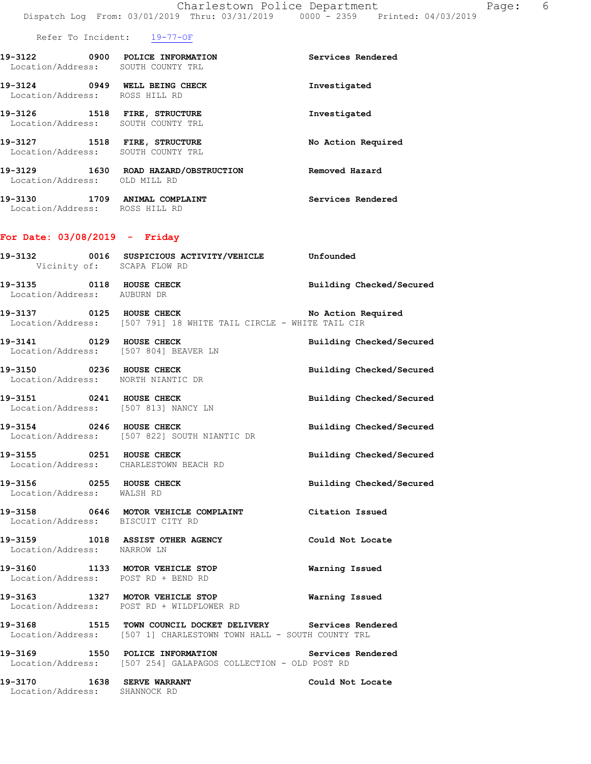| 19-3130<br>1709                      | ANIMAL COMPLAINT                       | Services Rendered  |
|--------------------------------------|----------------------------------------|--------------------|
| 19-3129<br>1630<br>Location/Address: | ROAD HAZARD/OBSTRUCTION<br>OLD MILL RD | Removed Hazard     |
| 19-3127<br>1518<br>Location/Address: | FIRE, STRUCTURE<br>SOUTH COUNTY TRL    | No Action Required |
| 19-3126<br>1518<br>Location/Address: | FIRE, STRUCTURE<br>SOUTH COUNTY TRL    | Investigated       |
| 19-3124<br>0949<br>Location/Address: | WELL BEING CHECK<br>ROSS HILL RD       | Investigated       |
| 19-3122<br>0900<br>Location/Address: | POLICE INFORMATION<br>SOUTH COUNTY TRL | Services Rendered  |
|                                      |                                        |                    |

Location/Address: ROSS HILL RD

### **For Date: 03/08/2019 - Friday**

| Vicinity of: SCAPA FLOW RD                                         |                                                                                               |                          |
|--------------------------------------------------------------------|-----------------------------------------------------------------------------------------------|--------------------------|
| 19-3135 0118 HOUSE CHECK<br>Location/Address: AUBURN DR            |                                                                                               | Building Checked/Secured |
|                                                                    | 19-3137 0125 HOUSE CHECK<br>Location/Address: [507 791] 18 WHITE TAIL CIRCLE - WHITE TAIL CIR | No Action Required       |
| 19-3141 0129 HOUSE CHECK<br>Location/Address: [507 804] BEAVER LN  |                                                                                               | Building Checked/Secured |
| 19-3150 0236 HOUSE CHECK<br>Location/Address: NORTH NIANTIC DR     |                                                                                               | Building Checked/Secured |
| 19-3151 0241 HOUSE CHECK<br>Location/Address: [507 813] NANCY LN   |                                                                                               | Building Checked/Secured |
| 19-3154 0246 HOUSE CHECK                                           | Location/Address: [507 822] SOUTH NIANTIC DR                                                  | Building Checked/Secured |
| 19-3155 0251 HOUSE CHECK<br>Location/Address: CHARLESTOWN BEACH RD |                                                                                               | Building Checked/Secured |
|                                                                    |                                                                                               |                          |

- **19-3156 0255 HOUSE CHECK Building Checked/Secured**  Location/Address: WALSH RD
- **19-3158 0646 MOTOR VEHICLE COMPLAINT Citation Issued**  Location/Address: BISCUIT CITY RD
- **19-3159 1018 ASSIST OTHER AGENCY Could Not Locate**  Location/Address: NARROW LN
- **19-3160 1133 MOTOR VEHICLE STOP Warning Issued**  Location/Address: POST RD + BEND RD
- **19-3163 1327 MOTOR VEHICLE STOP Warning Issued**  Location/Address: POST RD + WILDFLOWER RD
- **19-3168 1515 TOWN COUNCIL DOCKET DELIVERY Services Rendered**  Location/Address: [507 1] CHARLESTOWN TOWN HALL - SOUTH COUNTY TRL
- **19-3169 1550 POLICE INFORMATION Services Rendered**  Location/Address: [507 254] GALAPAGOS COLLECTION - OLD POST RD

**19-3170 1638 SERVE WARRANT Could Not Locate**  Location/Address: SHANNOCK RD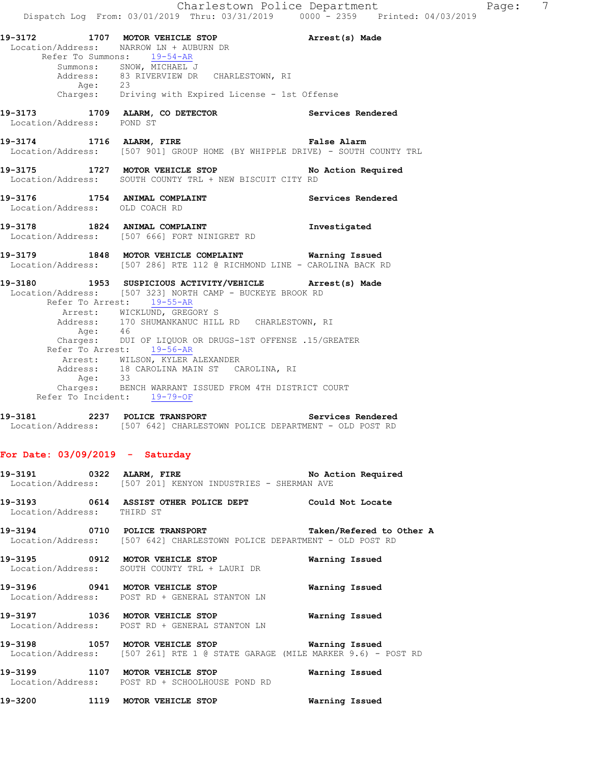Charlestown Police Department Fage: 7 Dispatch Log From: 03/01/2019 Thru: 03/31/2019 0000 - 2359 Printed: 04/03/2019 **19-3172 1707 MOTOR VEHICLE STOP Arrest(s) Made**  Location/Address: NARROW LN + AUBURN DR Refer To Summons: 19-54-AR Summons: SNOW, MICHAEL J<br>Address: 83 RIVERVIEW DR CHARLESTOWN, RI Address: 83 RIVERVIEW DR CHARLESTOWN, RI Age: 23 Charges: Driving with Expired License - 1st Offense **19-3173 1709 ALARM, CO DETECTOR Services Rendered**  Location/Address: POND ST **19-3174 1716 ALARM, FIRE False Alarm**  Location/Address: [507 901] GROUP HOME (BY WHIPPLE DRIVE) - SOUTH COUNTY TRL **19-3175 1727 MOTOR VEHICLE STOP No Action Required**  Location/Address: SOUTH COUNTY TRL + NEW BISCUIT CITY RD **19-3176 1754 ANIMAL COMPLAINT Services Rendered**  Location/Address: OLD COACH RD **19-3178 1824 ANIMAL COMPLAINT Investigated**  Location/Address: [507 666] FORT NINIGRET RD **19-3179 1848 MOTOR VEHICLE COMPLAINT Warning Issued**  Location/Address: [507 286] RTE 112 @ RICHMOND LINE - CAROLINA BACK RD **19-3180 1953 SUSPICIOUS ACTIVITY/VEHICLE Arrest(s) Made**  Location/Address: [507 323] NORTH CAMP - BUCKEYE BROOK RD Refer To Arrest: 19-55-AR Arrest: WICKLUND, GREGORY S Address: 170 SHUMANKANUC HILL RD CHARLESTOWN, RI Age: 46 Charges: DUI OF LIQUOR OR DRUGS-1ST OFFENSE .15/GREATER Refer To Arrest: 19-56-AR Arrest: WILSON, KYLER ALEXANDER Address: 18 CAROLINA MAIN ST CAROLINA, RI<br>Age: 33 Age: 33 Charges: BENCH WARRANT ISSUED FROM 4TH DISTRICT COURT Refer To Incident: 19-79-OF

**19-3181 2237 POLICE TRANSPORT Services Rendered**  Location/Address: [507 642] CHARLESTOWN POLICE DEPARTMENT - OLD POST RD

#### **For Date: 03/09/2019 - Saturday**

**19-3191 0322 ALARM, FIRE No Action Required**  Location/Address: [507 201] KENYON INDUSTRIES - SHERMAN AVE **19-3193 0614 ASSIST OTHER POLICE DEPT Could Not Locate**  Location/Address: THIRD ST **19-3194 0710 POLICE TRANSPORT Taken/Refered to Other A**  Location/Address: [507 642] CHARLESTOWN POLICE DEPARTMENT - OLD POST RD **19-3195 0912 MOTOR VEHICLE STOP Warning Issued**  Location/Address: SOUTH COUNTY TRL + LAURI DR **19-3196 0941 MOTOR VEHICLE STOP Warning Issued**  Location/Address: POST RD + GENERAL STANTON LN **19-3197 1036 MOTOR VEHICLE STOP Warning Issued**  Location/Address: POST RD + GENERAL STANTON LN **19-3198 1057 MOTOR VEHICLE STOP Warning Issued**  Location/Address: [507 261] RTE 1 @ STATE GARAGE (MILE MARKER 9.6) - POST RD **19-3199 1107 MOTOR VEHICLE STOP Warning Issued**  Location/Address: POST RD + SCHOOLHOUSE POND RD

**19-3200 1119 MOTOR VEHICLE STOP Warning Issued**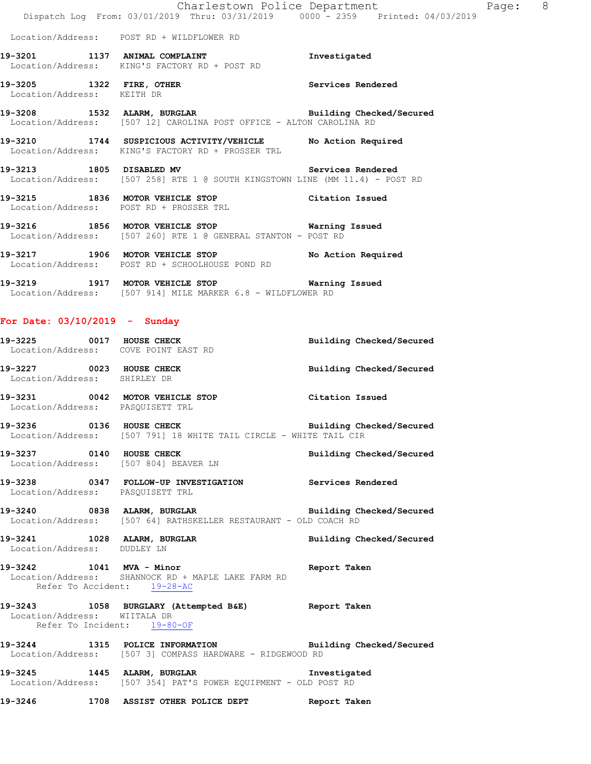|                                                        | Charlestown Police Department                                                                                                      |                   |
|--------------------------------------------------------|------------------------------------------------------------------------------------------------------------------------------------|-------------------|
|                                                        | Dispatch Log From: 03/01/2019 Thru: 03/31/2019 0000 - 2359 Printed: 04/03/2019                                                     |                   |
|                                                        | Location/Address: POST RD + WILDFLOWER RD                                                                                          |                   |
|                                                        | 19-3201 1137 ANIMAL COMPLAINT The Investigated<br>Location/Address: KING'S FACTORY RD + POST RD                                    |                   |
| 19-3205 1322 FIRE, OTHER<br>Location/Address: KEITH DR |                                                                                                                                    | Services Rendered |
|                                                        | 19-3208 1532 ALARM, BURGLAR BURGER Building Checked/Secured<br>Location/Address: [507 12] CAROLINA POST OFFICE - ALTON CAROLINA RD |                   |
|                                                        | 19-3210 1744 SUSPICIOUS ACTIVITY/VEHICLE No Action Required<br>Location/Address: KING'S FACTORY RD + PROSSER TRL                   |                   |
|                                                        | 19-3213 1805 DISABLED MV Services Rendered<br>Location/Address: [507 258] RTE 1 @ SOUTH KINGSTOWN LINE (MM 11.4) - POST RD         |                   |
|                                                        | 19-3215 1836 MOTOR VEHICLE STOP 6 Citation Issued<br>Location/Address: POST RD + PROSSER TRL                                       |                   |
|                                                        | 19-3216 1856 MOTOR VEHICLE STOP <b>Warning Issued</b><br>Location/Address: [507 260] RTE 1 @ GENERAL STANTON - POST RD             |                   |
|                                                        |                                                                                                                                    |                   |

Page: 8

- **19-3217 1906 MOTOR VEHICLE STOP No Action Required**  Location/Address: POST RD + SCHOOLHOUSE POND RD
- **19-3219 1917 MOTOR VEHICLE STOP Warning Issued**  Location/Address: [507 914] MILE MARKER 6.8 - WILDFLOWER RD

## **For Date: 03/10/2019 - Sunday**

| 19-3225 0017 HOUSE CHECK<br>Location/Address: COVE POINT EAST RD  |                                                                                                                          | Building Checked/Secured |
|-------------------------------------------------------------------|--------------------------------------------------------------------------------------------------------------------------|--------------------------|
| 19-3227 0023 HOUSE CHECK<br>Location/Address: SHIRLEY DR          |                                                                                                                          | Building Checked/Secured |
| Location/Address: PASOUISETT TRL                                  | 19-3231 0042 MOTOR VEHICLE STOP                                                                                          | Citation Issued          |
|                                                                   | Location/Address: [507 791] 18 WHITE TAIL CIRCLE - WHITE TAIL CIR                                                        |                          |
| 19-3237 0140 HOUSE CHECK<br>Location/Address: [507 804] BEAVER LN |                                                                                                                          | Building Checked/Secured |
| Location/Address: PASOUISETT TRL                                  | 19-3238 0347 FOLLOW-UP INVESTIGATION Services Rendered                                                                   |                          |
|                                                                   | 19-3240 0838 ALARM, BURGLAR Building Checked/Secured<br>Location/Address: [507 64] RATHSKELLER RESTAURANT - OLD COACH RD |                          |
| 19-3241 1028 ALARM, BURGLAR<br>Location/Address: DUDLEY LN        |                                                                                                                          | Building Checked/Secured |
| 19-3242 1041 MVA - Minor                                          | Location (Address: CUANNOCK DD L MADIE IAKE EADM DD                                                                      | Report Taken             |

 Location/Address: SHANNOCK RD + MAPLE LAKE FARM RD Refer To Accident: 19-28-AC

## **19-3243 1058 BURGLARY (Attempted B&E) Report Taken**  Location/Address: WIITALA DR Refer To Incident: 19-80-OF

**19-3244 1315 POLICE INFORMATION Building Checked/Secured**  Location/Address: [507 3] COMPASS HARDWARE - RIDGEWOOD RD

**19-3245 1445 ALARM, BURGLAR Investigated**  Location/Address: [507 354] PAT'S POWER EQUIPMENT - OLD POST RD

**19-3246 1708 ASSIST OTHER POLICE DEPT Report Taken**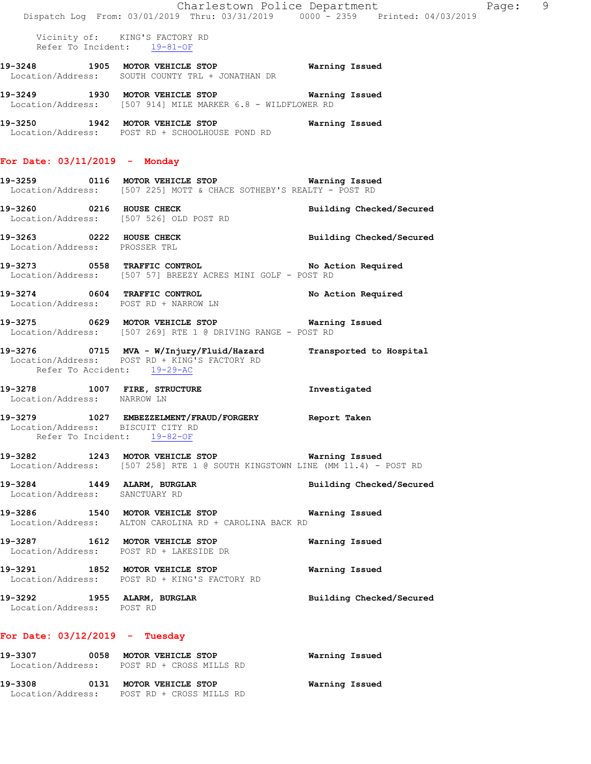|                                                          | Dispatch Log From: 03/01/2019 Thru: 03/31/2019 0000 - 2359 Printed: 04/03/2019                                                   | Charlestown Police Department | Page: 9 |  |
|----------------------------------------------------------|----------------------------------------------------------------------------------------------------------------------------------|-------------------------------|---------|--|
| Refer To Incident: 19-81-OF                              | Vicinity of: KING'S FACTORY RD                                                                                                   |                               |         |  |
|                                                          | 19-3248 1905 MOTOR VEHICLE STOP <b>Warning Issued</b><br>Location/Address: SOUTH COUNTY TRL + JONATHAN DR                        |                               |         |  |
|                                                          | 19-3249 1930 MOTOR VEHICLE STOP 6 Warning Issued<br>Location/Address: [507 914] MILE MARKER 6.8 - WILDFLOWER RD                  |                               |         |  |
|                                                          | 19-3250 1942 MOTOR VEHICLE STOP <b>WATER</b> Warning Issued<br>Location/Address: POST RD + SCHOOLHOUSE POND RD                   |                               |         |  |
| For Date: $03/11/2019$ - Monday                          |                                                                                                                                  |                               |         |  |
|                                                          | 19-3259 0116 MOTOR VEHICLE STOP <b>Warning Issued</b><br>Location/Address: [507 225] MOTT & CHACE SOTHEBY'S REALTY - POST RD     |                               |         |  |
|                                                          | 19-3260 0216 HOUSE CHECK<br>Location/Address: [507 526] OLD POST RD                                                              | Building Checked/Secured      |         |  |
| Location/Address: PROSSER TRL                            | 19-3263 0222 HOUSE CHECK                                                                                                         | Building Checked/Secured      |         |  |
|                                                          | 19-3273 0558 TRAFFIC CONTROL No Action Required<br>Location/Address: [507 57] BREEZY ACRES MINI GOLF - POST RD                   |                               |         |  |
|                                                          | 19-3274 0604 TRAFFIC CONTROL No Action Required<br>Location/Address: POST RD + NARROW LN                                         |                               |         |  |
|                                                          | 19-3275 0629 MOTOR VEHICLE STOP <b>Warning Issued</b><br>Location/Address: [507 269] RTE 1 @ DRIVING RANGE - POST RD             |                               |         |  |
| Refer To Accident: 19-29-AC                              | 19-3276 0715 MVA - W/Injury/Fluid/Hazard Transported to Hospital<br>Location/Address: POST RD + KING'S FACTORY RD                |                               |         |  |
| Location/Address: NARROW LN                              | 19-3278 1007 FIRE, STRUCTURE 10-3278 Investigated                                                                                |                               |         |  |
| Location/Address: BISCUIT CITY RD                        | 19-3279 1027 EMBEZZELMENT/FRAUD/FORGERY Report Taken<br>Refer To Incident: 19-82-OF                                              |                               |         |  |
|                                                          | 19-3282 1243 MOTOR VEHICLE STOP 6 Warning Issued<br>Location/Address: [507 258] RTE 1 @ SOUTH KINGSTOWN LINE (MM 11.4) - POST RD |                               |         |  |
| Location/Address: SANCTUARY RD                           | 19-3284 1449 ALARM, BURGLAR                                                                                                      | Building Checked/Secured      |         |  |
|                                                          | 19-3286 1540 MOTOR VEHICLE STOP 6 Warning Issued<br>Location/Address: ALTON CAROLINA RD + CAROLINA BACK RD                       |                               |         |  |
|                                                          | 19-3287 1612 MOTOR VEHICLE STOP<br>Location/Address: POST RD + LAKESIDE DR                                                       | Warning Issued                |         |  |
|                                                          | 19-3291 1852 MOTOR VEHICLE STOP<br>Location/Address: POST RD + KING'S FACTORY RD                                                 | Warning Issued                |         |  |
| 19-3292 1955 ALARM, BURGLAR<br>Location/Address: POST RD |                                                                                                                                  | Building Checked/Secured      |         |  |
| For Date: $03/12/2019$ - Tuesday                         |                                                                                                                                  |                               |         |  |
|                                                          | 19-3307 0058 MOTOR VEHICLE STOP<br>Location/Address: POST RD + CROSS MILLS RD                                                    | Warning Issued                |         |  |
|                                                          | 19-3308 0131 MOTOR VEHICLE STOP                                                                                                  | Warning Issued                |         |  |

Location/Address: POST RD + CROSS MILLS RD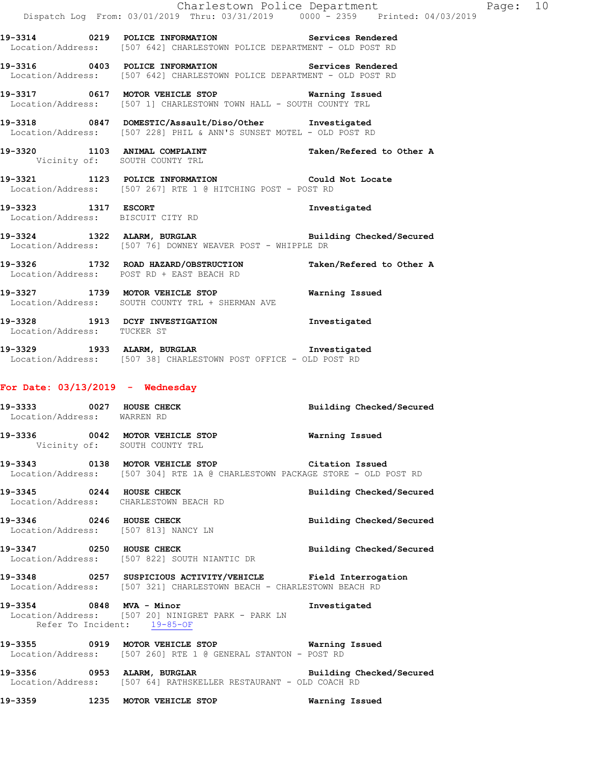|                                                         | Charlestown Police Department<br>Dispatch Log From: 03/01/2019 Thru: 03/31/2019 0000 - 2359 Printed: 04/03/2019                      |                          | P |
|---------------------------------------------------------|--------------------------------------------------------------------------------------------------------------------------------------|--------------------------|---|
|                                                         | 19-3314 0219 POLICE INFORMATION Services Rendered<br>Location/Address: [507 642] CHARLESTOWN POLICE DEPARTMENT - OLD POST RD         |                          |   |
|                                                         | 19-3316 		 0403 POLICE INFORMATION 		 Services Rendered<br>Location/Address: [507 642] CHARLESTOWN POLICE DEPARTMENT - OLD POST RD   |                          |   |
|                                                         | 19-3317 0617 MOTOR VEHICLE STOP <b>WATER</b> Warning Issued<br>Location/Address: [507 1] CHARLESTOWN TOWN HALL - SOUTH COUNTY TRL    |                          |   |
|                                                         | 19-3318 0847 DOMESTIC/Assault/Diso/Other Investigated<br>Location/Address: [507 228] PHIL & ANN'S SUNSET MOTEL - OLD POST RD         |                          |   |
|                                                         | 19-3320 1103 ANIMAL COMPLAINT Taken/Refered to Other A<br>Vicinity of: SOUTH COUNTY TRL                                              |                          |   |
|                                                         | 19-3321 1123 POLICE INFORMATION Could Not Locate<br>Location/Address: [507 267] RTE 1 @ HITCHING POST - POST RD                      |                          |   |
|                                                         | 19-3323 1317 ESCORT<br>Location/Address: BISCUIT CITY RD                                                                             | Investigated             |   |
|                                                         | 19-3324 1322 ALARM, BURGLAR<br>Location/Address: [507 76] DOWNEY WEAVER POST - WHIPPLE DR                                            |                          |   |
|                                                         | 19-3326 1732 ROAD HAZARD/OBSTRUCTION Taken/Refered to Other A Location/Address: POST RD + EAST BEACH RD                              |                          |   |
|                                                         | 19-3327 1739 MOTOR VEHICLE STOP WArning Issued<br>Location/Address: SOUTH COUNTY TRL + SHERMAN AVE                                   |                          |   |
| Location/Address: TUCKER ST                             | 19-3328 1913 DCYF INVESTIGATION 1nvestigated                                                                                         |                          |   |
|                                                         | 19-3329 1933 ALARM, BURGLAR 19-3329 Investigated<br>Location/Address: [507 38] CHARLESTOWN POST OFFICE - OLD POST RD                 |                          |   |
| For Date: $03/13/2019$ - Wednesday                      |                                                                                                                                      |                          |   |
| 19-3333 0027 HOUSE CHECK<br>Location/Address: WARREN RD |                                                                                                                                      | Building Checked/Secured |   |
|                                                         | 19-3336 0042 MOTOR VEHICLE STOP 6 Warning Issued<br>Vicinity of: SOUTH COUNTY TRL                                                    |                          |   |
|                                                         | 19-3343 0138 MOTOR VEHICLE STOP Citation Issued<br>Location/Address: [507 304] RTE 1A @ CHARLESTOWN PACKAGE STORE - OLD POST RD      |                          |   |
|                                                         | 19-3345 0244 HOUSE CHECK<br>Location/Address: CHARLESTOWN BEACH RD                                                                   | Building Checked/Secured |   |
| 19-3346 0246 HOUSE CHECK                                | Location/Address: [507 813] NANCY LN                                                                                                 | Building Checked/Secured |   |
|                                                         | 19-3347 0250 HOUSE CHECK<br>Location/Address: [507 822] SOUTH NIANTIC DR                                                             | Building Checked/Secured |   |
|                                                         | 19-3348 0257 SUSPICIOUS ACTIVITY/VEHICLE Field Interrogation<br>Location/Address: [507 321] CHARLESTOWN BEACH - CHARLESTOWN BEACH RD |                          |   |
|                                                         | 19-3354 0848 MVA - Minor<br>Location/Address: [507 20] NINIGRET PARK - PARK LN<br>Refer To Incident: 19-85-OF                        | Investigated             |   |
|                                                         | 19-3355 0919 MOTOR VEHICLE STOP 6 Warning Issued<br>Location/Address: [507 260] RTE 1 @ GENERAL STANTON - POST RD                    |                          |   |
|                                                         | 19-3356 			 0953 ALARM, BURGLAR 				 Building Checked/Secured<br>Location/Address: [507 64] RATHSKELLER RESTAURANT - OLD COACH RD    |                          |   |

**19-3359 1235 MOTOR VEHICLE STOP Warning Issued** 

Page: 10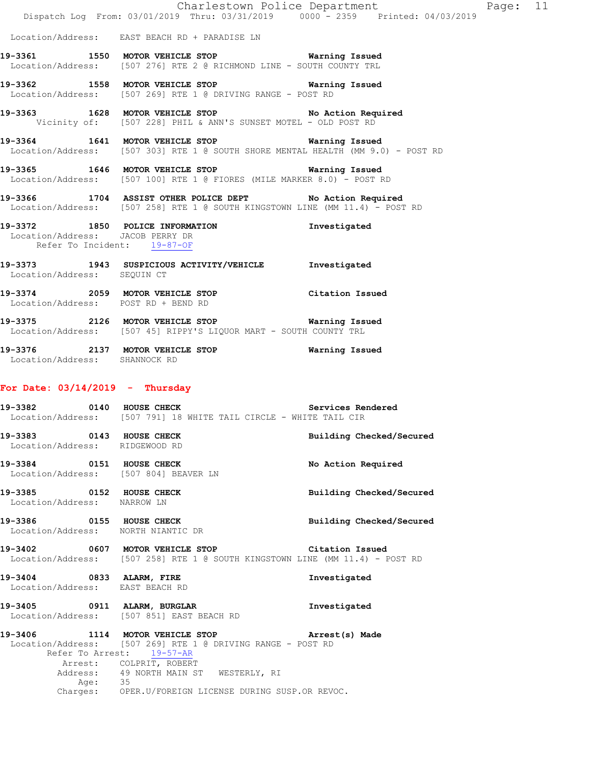|                                                                   | Charlestown Police Department<br>Dispatch Log From: 03/01/2019 Thru: 03/31/2019 0000 - 2359 Printed: 04/03/2019                                                                                                                                              |                          |
|-------------------------------------------------------------------|--------------------------------------------------------------------------------------------------------------------------------------------------------------------------------------------------------------------------------------------------------------|--------------------------|
|                                                                   | Location/Address: EAST BEACH RD + PARADISE LN                                                                                                                                                                                                                |                          |
|                                                                   | 19-3361 1550 MOTOR VEHICLE STOP 19-3361 Warning Issued<br>Location/Address: [507 276] RTE 2 @ RICHMOND LINE - SOUTH COUNTY TRL                                                                                                                               |                          |
|                                                                   | 19-3362 1558 MOTOR VEHICLE STOP 6 Warning Issued<br>Location/Address: [507 269] RTE 1 @ DRIVING RANGE - POST RD                                                                                                                                              |                          |
|                                                                   | 19-3363 1628 MOTOR VEHICLE STOP No Action Required<br>Vicinity of: [507 228] PHIL & ANN'S SUNSET MOTEL - OLD POST RD                                                                                                                                         |                          |
|                                                                   | 19-3364 1641 MOTOR VEHICLE STOP <b>Warning Issued</b><br>Location/Address: [507 303] RTE 1 @ SOUTH SHORE MENTAL HEALTH (MM 9.0) - POST RD                                                                                                                    |                          |
|                                                                   | 19-3365 1646 MOTOR VEHICLE STOP 5 Warning Issued<br>Location/Address: [507 100] RTE 1 @ FIORES (MILE MARKER 8.0) - POST RD                                                                                                                                   |                          |
|                                                                   | 19-3366 1704 ASSIST OTHER POLICE DEPT No Action Required<br>Location/Address: [507 258] RTE 1 @ SOUTH KINGSTOWN LINE (MM 11.4) - POST RD                                                                                                                     |                          |
| Location/Address: JACOB PERRY DR<br>Refer To Incident: 19-87-OF   | 19-3372 1850 POLICE INFORMATION                                                                                                                                                                                                                              | Investigated             |
| Location/Address: SEQUIN CT                                       | 19-3373 1943 SUSPICIOUS ACTIVITY/VEHICLE Investigated                                                                                                                                                                                                        |                          |
| Location/Address: POST RD + BEND RD                               | 19-3374 2059 MOTOR VEHICLE STOP Citation Issued                                                                                                                                                                                                              |                          |
|                                                                   | 19-3375 2126 MOTOR VEHICLE STOP <b>WATER</b> Warning Issued<br>Location/Address: [507 45] RIPPY'S LIQUOR MART - SOUTH COUNTY TRL                                                                                                                             |                          |
| Location/Address: SHANNOCK RD                                     | 19-3376 2137 MOTOR VEHICLE STOP Warning Issued                                                                                                                                                                                                               |                          |
| For Date: $03/14/2019$ - Thursday                                 |                                                                                                                                                                                                                                                              |                          |
|                                                                   | Location/Address: [507 791] 18 WHITE TAIL CIRCLE - WHITE TAIL CIR                                                                                                                                                                                            |                          |
| 19-3383 0143 HOUSE CHECK<br>Location/Address: RIDGEWOOD RD        |                                                                                                                                                                                                                                                              | Building Checked/Secured |
| 19-3384 0151 HOUSE CHECK<br>Location/Address: [507 804] BEAVER LN |                                                                                                                                                                                                                                                              | No Action Required       |
| 19-3385 0152 HOUSE CHECK<br>Location/Address: NARROW LN           |                                                                                                                                                                                                                                                              | Building Checked/Secured |
| 19-3386 0155 HOUSE CHECK<br>Location/Address: NORTH NIANTIC DR    |                                                                                                                                                                                                                                                              | Building Checked/Secured |
|                                                                   | 19-3402 0607 MOTOR VEHICLE STOP Citation Issued<br>Location/Address: [507 258] RTE 1 @ SOUTH KINGSTOWN LINE (MM 11.4) - POST RD                                                                                                                              |                          |
| 19-3404 0833 ALARM, FIRE<br>Location/Address: EAST BEACH RD       |                                                                                                                                                                                                                                                              | Investigated             |
|                                                                   | 19-3405 0911 ALARM, BURGLAR<br>Location/Address: [507 851] EAST BEACH RD                                                                                                                                                                                     | Investigated             |
| 19-3406                                                           | 1114 MOTOR VEHICLE STOP<br>Location/Address: [507 269] RTE 1 @ DRIVING RANGE - POST RD<br>Refer To Arrest: 19-57-AR<br>Arrest: COLPRIT, ROBERT<br>Address: 49 NORTH MAIN ST WESTERLY, RI<br>Age: 35<br>Charges: OPER.U/FOREIGN LICENSE DURING SUSP.OR REVOC. | Arrest(s) Made           |

Page: 11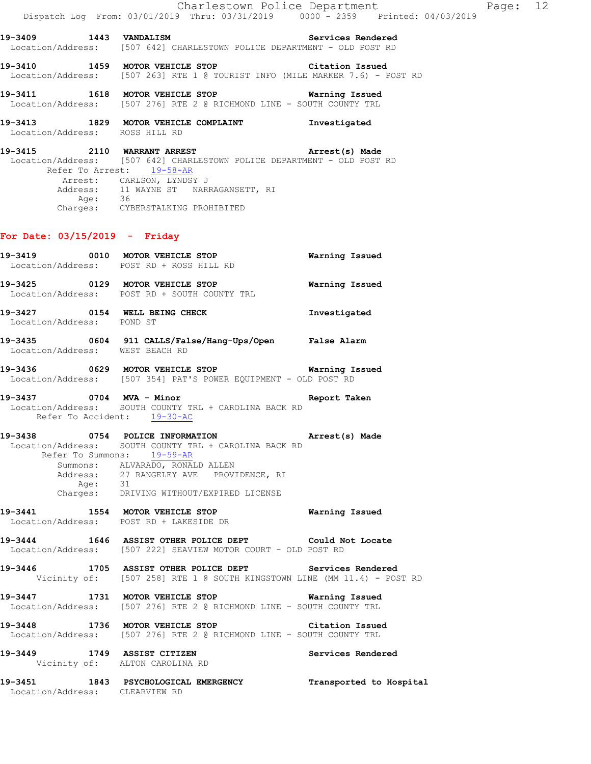**19-3409 1443 VANDALISM Services Rendered**  Location/Address: [507 642] CHARLESTOWN POLICE DEPARTMENT - OLD POST RD

**19-3410 1459 MOTOR VEHICLE STOP Citation Issued**  Location/Address: [507 263] RTE 1 @ TOURIST INFO (MILE MARKER 7.6) - POST RD

**19-3411 1618 MOTOR VEHICLE STOP Warning Issued**  Location/Address: [507 276] RTE 2 @ RICHMOND LINE - SOUTH COUNTY TRL

**19-3413 1829 MOTOR VEHICLE COMPLAINT Investigated**  Location/Address: ROSS HILL RD

**19-3415 2110 WARRANT ARREST Arrest(s) Made**  Location/Address: [507 642] CHARLESTOWN POLICE DEPARTMENT - OLD POST RD Refer To Arrest: 19-58-AR Arrest: CARLSON, LYNDSY J Address: 11 WAYNE ST NARRAGANSETT, RI Age: 36 Charges: CYBERSTALKING PROHIBITED

## **For Date: 03/15/2019 - Friday**

**19-3419 0010 MOTOR VEHICLE STOP Warning Issued**  Location/Address: POST RD + ROSS HILL RD **19-3425 0129 MOTOR VEHICLE STOP Warning Issued**  Location/Address: POST RD + SOUTH COUNTY TRL **19-3427 0154 WELL BEING CHECK Investigated**  Location/Address: POND ST **19-3435 0604 911 CALLS/False/Hang-Ups/Open False Alarm**  Location/Address: WEST BEACH RD **19-3436 0629 MOTOR VEHICLE STOP Warning Issued**  Location/Address: [507 354] PAT'S POWER EQUIPMENT - OLD POST RD **19-3437 0704 MVA - Minor Report Taken**  Location/Address: SOUTH COUNTY TRL + CAROLINA BACK RD Refer To Accident: 19-30-AC **19-3438 0754 POLICE INFORMATION Arrest(s) Made**  Location/Address: SOUTH COUNTY TRL + CAROLINA BACK RD Refer To Summons: 19-59-AR Summons: ALVARADO, RONALD ALLEN Address: 27 RANGELEY AVE PROVIDENCE, RI Age: 31 Charges: DRIVING WITHOUT/EXPIRED LICENSE **19-3441 1554 MOTOR VEHICLE STOP Warning Issued**  Location/Address: POST RD + LAKESIDE DR **19-3444 1646 ASSIST OTHER POLICE DEPT Could Not Locate**  Location/Address: [507 222] SEAVIEW MOTOR COURT - OLD POST RD **19-3446 1705 ASSIST OTHER POLICE DEPT Services Rendered**  Vicinity of: [507 258] RTE 1 @ SOUTH KINGSTOWN LINE (MM 11.4) - POST RD **19-3447 1731 MOTOR VEHICLE STOP Warning Issued**  Location/Address: [507 276] RTE 2 @ RICHMOND LINE - SOUTH COUNTY TRL **19-3448 1736 MOTOR VEHICLE STOP Citation Issued**  Location/Address: [507 276] RTE 2 @ RICHMOND LINE - SOUTH COUNTY TRL **19-3449 1749 ASSIST CITIZEN Services Rendered**  Vicinity of: ALTON CAROLINA RD **19-3451 1843 PSYCHOLOGICAL EMERGENCY Transported to Hospital**  Location/Address: CLEARVIEW RD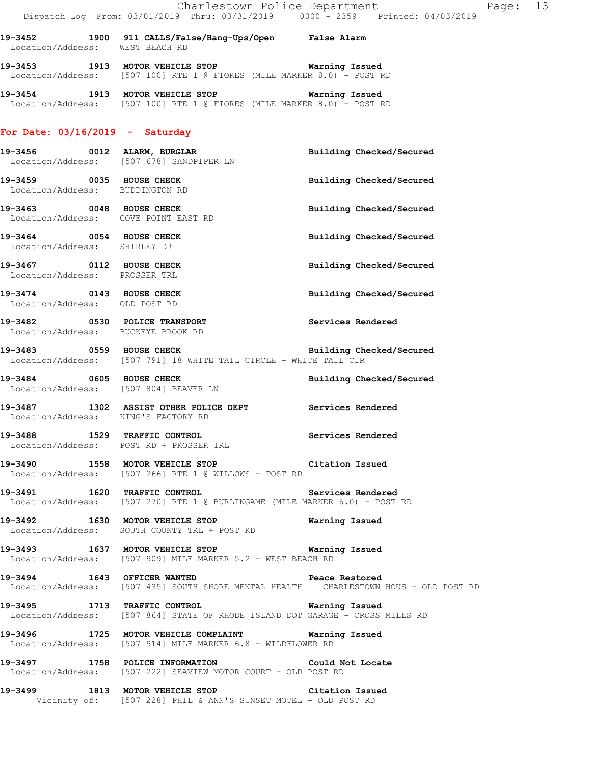**19-3452 1900 911 CALLS/False/Hang-Ups/Open False Alarm**  Location/Address: WEST BEACH RD

**19-3453 1913 MOTOR VEHICLE STOP Warning Issued**  Location/Address: [507 100] RTE 1 @ FIORES (MILE MARKER 8.0) - POST RD

**19-3454 1913 MOTOR VEHICLE STOP Warning Issued**  Location/Address: [507 100] RTE 1 @ FIORES (MILE MARKER 8.0) - POST RD

## **For Date: 03/16/2019 - Saturday**

- **19-3456 0012 ALARM, BURGLAR Building Checked/Secured**  Location/Address: [507 678] SANDPIPER LN **19-3459 0035 HOUSE CHECK Building Checked/Secured**  Location/Address: BUDDINGTON RD **19-3463 0048 HOUSE CHECK Building Checked/Secured**  Location/Address: COVE POINT EAST RD **19-3464 0054 HOUSE CHECK Building Checked/Secured**  Location/Address: SHIRLEY DR **19-3467 0112 HOUSE CHECK Building Checked/Secured**  Location/Address: PROSSER TRL **19-3474 0143 HOUSE CHECK Building Checked/Secured**  Location/Address: OLD POST RD **19-3482 0530 POLICE TRANSPORT Services Rendered**  Location/Address: BUCKEYE BROOK RD **19-3483 0559 HOUSE CHECK Building Checked/Secured**  Location/Address: [507 791] 18 WHITE TAIL CIRCLE - WHITE TAIL CIR **19-3484 0605 HOUSE CHECK Building Checked/Secured**  Location/Address: [507 804] BEAVER LN **19-3487 1302 ASSIST OTHER POLICE DEPT Services Rendered**  Location/Address: KING'S FACTORY RD **19-3488 1529 TRAFFIC CONTROL Services Rendered**  Location/Address: POST RD + PROSSER TRL **19-3490 1558 MOTOR VEHICLE STOP Citation Issued**  Location/Address: [507 266] RTE 1 @ WILLOWS - POST RD **19-3491 1620 TRAFFIC CONTROL Services Rendered**  Location/Address: [507 270] RTE 1 @ BURLINGAME (MILE MARKER 6.0) - POST RD **19-3492 1630 MOTOR VEHICLE STOP Warning Issued**  Location/Address: SOUTH COUNTY TRL + POST RD **19-3493 1637 MOTOR VEHICLE STOP Warning Issued**  Location/Address: [507 909] MILE MARKER 5.2 - WEST BEACH RD **19-3494 1643 OFFICER WANTED Peace Restored**  Location/Address: [507 435] SOUTH SHORE MENTAL HEALTH CHARLESTOWN HOUS - OLD POST RD **19-3495 1713 TRAFFIC CONTROL Warning Issued**  Location/Address: [507 864] STATE OF RHODE ISLAND DOT GARAGE - CROSS MILLS RD **19-3496 1725 MOTOR VEHICLE COMPLAINT Warning Issued**  Location/Address: [507 914] MILE MARKER 6.8 - WILDFLOWER RD **19-3497 1758 POLICE INFORMATION Could Not Locate**  Location/Address: [507 222] SEAVIEW MOTOR COURT - OLD POST RD **19-3499 1813 MOTOR VEHICLE STOP Citation Issued** 
	- Vicinity of: [507 228] PHIL & ANN'S SUNSET MOTEL OLD POST RD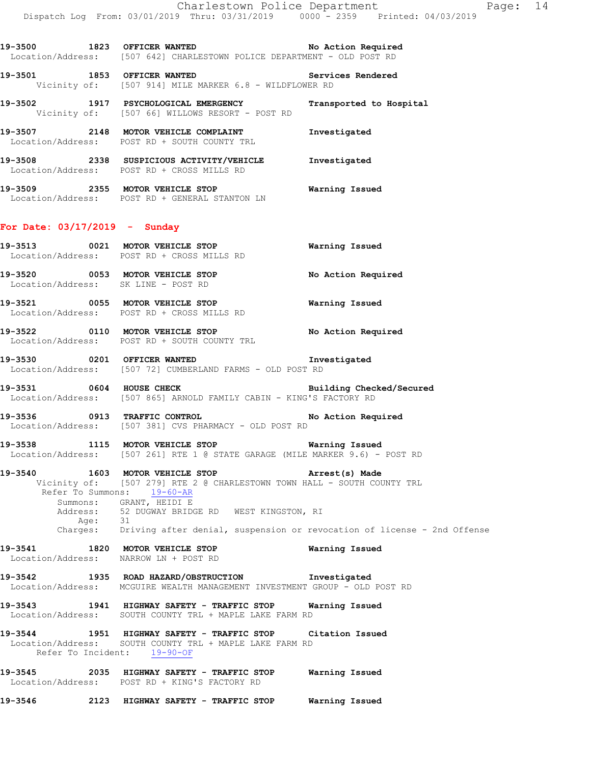**19-3501 1853 OFFICER WANTED Services Rendered**  Vicinity of: [507 914] MILE MARKER 6.8 - WILDFLOWER RD

**19-3502 1917 PSYCHOLOGICAL EMERGENCY Transported to Hospital**  Vicinity of: [507 66] WILLOWS RESORT - POST RD **19-3507 2148 MOTOR VEHICLE COMPLAINT Investigated**  Location/Address: POST RD + SOUTH COUNTY TRL

**19-3508 2338 SUSPICIOUS ACTIVITY/VEHICLE Investigated**  Location/Address: POST RD + CROSS MILLS RD

**19-3509 2355 MOTOR VEHICLE STOP Warning Issued**  Location/Address: POST RD + GENERAL STANTON LN

## **For Date: 03/17/2019 - Sunday**

| 19–3513 | 0021 MOTOR VEHICLE STOP<br>Location/Address: POST RD + CROSS MILLS RD | Warning Issued     |
|---------|-----------------------------------------------------------------------|--------------------|
| 19-3520 | 0053 MOTOR VEHICLE STOP<br>Location/Address: SK LINE - POST RD        | No Action Required |

**19-3521 0055 MOTOR VEHICLE STOP Warning Issued**  Location/Address: POST RD + CROSS MILLS RD

**19-3522 0110 MOTOR VEHICLE STOP No Action Required**  Location/Address: POST RD + SOUTH COUNTY TRL

**19-3530 0201 OFFICER WANTED Investigated**  Location/Address: [507 72] CUMBERLAND FARMS - OLD POST RD

**19-3531 0604 HOUSE CHECK Building Checked/Secured**  Location/Address: [507 865] ARNOLD FAMILY CABIN - KING'S FACTORY RD

**19-3536 0913 TRAFFIC CONTROL No Action Required**  Location/Address: [507 381] CVS PHARMACY - OLD POST RD

**19-3538 1115 MOTOR VEHICLE STOP Warning Issued**  Location/Address: [507 261] RTE 1 @ STATE GARAGE (MILE MARKER 9.6) - POST RD

**19-3540 1603 MOTOR VEHICLE STOP Arrest(s) Made**  Vicinity of: [507 279] RTE 2 @ CHARLESTOWN TOWN HALL - SOUTH COUNTY TRL Refer To Summons:  $19-60-AR$  Summons: GRANT, HEIDI E Address: 52 DUGWAY BRIDGE RD WEST KINGSTON, RI Age: 31<br>Charges: Dri Driving after denial, suspension or revocation of license - 2nd Offense

**19-3541 1820 MOTOR VEHICLE STOP Warning Issued**  Location/Address: NARROW LN + POST RD

**19-3542 1935 ROAD HAZARD/OBSTRUCTION Investigated**  Location/Address: MCGUIRE WEALTH MANAGEMENT INVESTMENT GROUP - OLD POST RD

**19-3543 1941 HIGHWAY SAFETY - TRAFFIC STOP Warning Issued**  Location/Address: SOUTH COUNTY TRL + MAPLE LAKE FARM RD

**19-3544 1951 HIGHWAY SAFETY - TRAFFIC STOP Citation Issued**  Location/Address: SOUTH COUNTY TRL + MAPLE LAKE FARM RD Refer To Incident: 19-90-OF

**19-3545 2035 HIGHWAY SAFETY - TRAFFIC STOP Warning Issued**  Location/Address: POST RD + KING'S FACTORY RD

**19-3546 2123 HIGHWAY SAFETY - TRAFFIC STOP Warning Issued**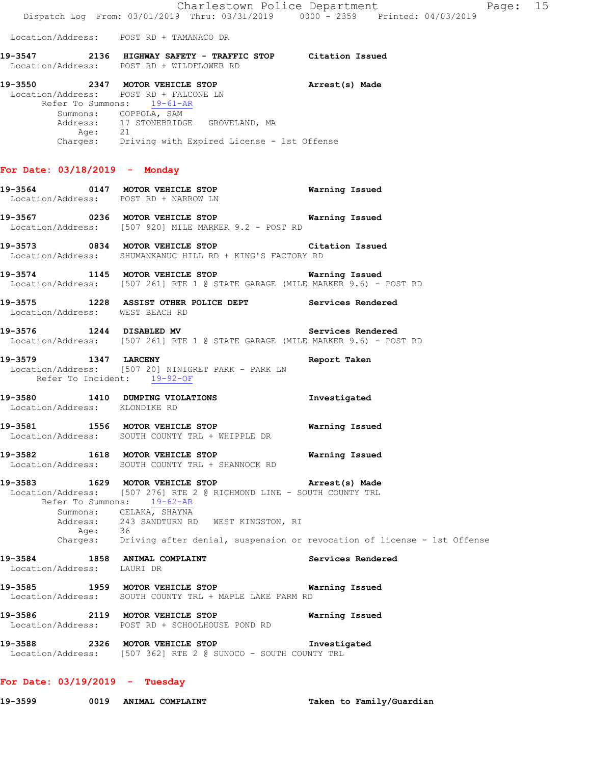Charlestown Police Department Fage: 15 Dispatch Log From: 03/01/2019 Thru: 03/31/2019 0000 - 2359 Printed: 04/03/2019 Location/Address: POST RD + TAMANACO DR **19-3547 2136 HIGHWAY SAFETY - TRAFFIC STOP Citation Issued**  Location/Address: POST RD + WILDFLOWER RD **19-3550 2347 MOTOR VEHICLE STOP Arrest(s) Made**  Location/Address: POST RD + FALCONE LN Refer To Summons: 19-61-AR Summons: COPPOLA, SAM Address: 17 STONEBRIDGE GROVELAND, MA Age: 21 Charges: Driving with Expired License - 1st Offense **For Date: 03/18/2019 - Monday 19-3564 0147 MOTOR VEHICLE STOP Warning Issued**  Location/Address: POST RD + NARROW LN **19-3567 0236 MOTOR VEHICLE STOP Warning Issued**  Location/Address: [507 920] MILE MARKER 9.2 - POST RD **19-3573 0834 MOTOR VEHICLE STOP Citation Issued**  Location/Address: SHUMANKANUC HILL RD + KING'S FACTORY RD **19-3574 1145 MOTOR VEHICLE STOP Warning Issued**  Location/Address: [507 261] RTE 1 @ STATE GARAGE (MILE MARKER 9.6) - POST RD **19-3575 1228 ASSIST OTHER POLICE DEPT Services Rendered**  Location/Address: WEST BEACH RD 19-3576 1244 DISABLED MV **Services Rendered**  Location/Address: [507 261] RTE 1 @ STATE GARAGE (MILE MARKER 9.6) - POST RD **19-3579 1347 LARCENY Report Taken**  Location/Address: [507 20] NINIGRET PARK - PARK LN Refer To Incident: 19-92-OF **19-3580 1410 DUMPING VIOLATIONS Investigated**  Location/Address: KLONDIKE RD **19-3581 1556 MOTOR VEHICLE STOP Warning Issued**  Location/Address: SOUTH COUNTY TRL + WHIPPLE DR **19-3582 1618 MOTOR VEHICLE STOP Warning Issued**  Location/Address: SOUTH COUNTY TRL + SHANNOCK RD **19-3583 1629 MOTOR VEHICLE STOP Arrest(s) Made**  Location/Address: [507 276] RTE 2 @ RICHMOND LINE - SOUTH COUNTY TRL Refer To Summons: 19-62-AR Summons: CELAKA, SHAYNA Address: 243 SANDTURN RD WEST KINGSTON, RI Age: 36 Charges: Driving after denial, suspension or revocation of license - 1st Offense 19-3584 1858 ANIMAL COMPLAINT **1899 Services** Rendered Location/Address: LAURI DR **19-3585 1959 MOTOR VEHICLE STOP Warning Issued**  Location/Address: SOUTH COUNTY TRL + MAPLE LAKE FARM RD **19-3586 2119 MOTOR VEHICLE STOP Warning Issued**  Location/Address: POST RD + SCHOOLHOUSE POND RD **19-3588 2326 MOTOR VEHICLE STOP Investigated**  Location/Address: [507 362] RTE 2 @ SUNOCO - SOUTH COUNTY TRL

#### **For Date: 03/19/2019 - Tuesday**

**19-3599 0019 ANIMAL COMPLAINT Taken to Family/Guardian**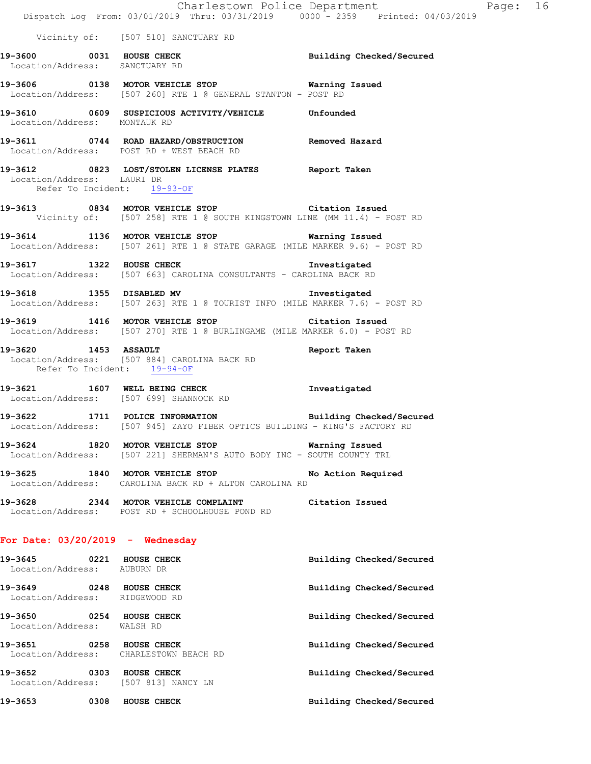|                                                                    | Charlestown Police Department<br>Dispatch Log From: 03/01/2019 Thru: 03/31/2019 0000 - 2359 Printed: 04/03/2019                        |                          |
|--------------------------------------------------------------------|----------------------------------------------------------------------------------------------------------------------------------------|--------------------------|
|                                                                    | Vicinity of: [507 510] SANCTUARY RD                                                                                                    |                          |
| 19-3600 0031 HOUSE CHECK<br>Location/Address: SANCTUARY RD         |                                                                                                                                        | Building Checked/Secured |
|                                                                    | 19-3606 0138 MOTOR VEHICLE STOP Warning Issued<br>Location/Address: [507 260] RTE 1 @ GENERAL STANTON - POST RD                        |                          |
|                                                                    | 19-3610 0609 SUSPICIOUS ACTIVITY/VEHICLE Unfounded<br>Location/Address: MONTAUK RD                                                     |                          |
|                                                                    | 19-3611 0744 ROAD HAZARD/OBSTRUCTION Removed Hazard<br>Location/Address: POST RD + WEST BEACH RD                                       |                          |
| Location/Address: LAURI DR<br>Refer To Incident: 19-93-OF          | 19-3612 0823 LOST/STOLEN LICENSE PLATES Report Taken                                                                                   |                          |
|                                                                    | 19-3613 0834 MOTOR VEHICLE STOP Citation Issued<br>Vicinity of: [507 258] RTE 1 @ SOUTH KINGSTOWN LINE (MM 11.4) - POST RD             |                          |
|                                                                    | 19-3614 1136 MOTOR VEHICLE STOP 6 Warning Issued<br>Location/Address: [507 261] RTE 1 @ STATE GARAGE (MILE MARKER 9.6) - POST RD       |                          |
|                                                                    | 19-3617 1322 HOUSE CHECK Investigated<br>Location/Address: [507 663] CAROLINA CONSULTANTS - CAROLINA BACK RD                           |                          |
|                                                                    | 19-3618 1355 DISABLED MV 1000 100 Investigated<br>Location/Address: [507 263] RTE 1 @ TOURIST INFO (MILE MARKER 7.6) - POST RD         |                          |
|                                                                    | 19-3619 1416 MOTOR VEHICLE STOP Citation Issued<br>Location/Address: [507 270] RTE 1 @ BURLINGAME (MILE MARKER 6.0) - POST RD          |                          |
| Refer To Incident: 19-94-OF                                        | $19-3620$ 1453 ASSAULT<br>Location/Address: [507 884] CAROLINA BACK RD                                                                 | Report Taken             |
|                                                                    | 19-3621 1607 WELL BEING CHECK Investigated<br>Location/Address: [507 699] SHANNOCK RD                                                  |                          |
|                                                                    | 19-3622 1711 POLICE INFORMATION Building Checked/Secured<br>Location/Address: [507 945] ZAYO FIBER OPTICS BUILDING - KING'S FACTORY RD |                          |
|                                                                    | 19-3624 1820 MOTOR VEHICLE STOP <b>National State</b><br>Location/Address: [507 221] SHERMAN'S AUTO BODY INC - SOUTH COUNTY TRL        |                          |
|                                                                    | 19-3625 1840 MOTOR VEHICLE STOP<br>Location/Address: CAROLINA BACK RD + ALTON CAROLINA RD                                              | No Action Required       |
|                                                                    | 19-3628 2344 MOTOR VEHICLE COMPLAINT<br>Location/Address: POST RD + SCHOOLHOUSE POND RD                                                | Citation Issued          |
| For Date: $03/20/2019$ - Wednesday                                 |                                                                                                                                        |                          |
| 19-3645 0221 HOUSE CHECK<br>Location/Address: AUBURN DR            |                                                                                                                                        | Building Checked/Secured |
| 19-3649 0248 HOUSE CHECK<br>Location/Address: RIDGEWOOD RD         |                                                                                                                                        | Building Checked/Secured |
| 19-3650 0254 HOUSE CHECK<br>Location/Address: WALSH RD             |                                                                                                                                        | Building Checked/Secured |
| 19-3651 0258 HOUSE CHECK<br>Location/Address: CHARLESTOWN BEACH RD |                                                                                                                                        | Building Checked/Secured |
| 19-3652 0303 HOUSE CHECK<br>Location/Address: [507 813] NANCY LN   |                                                                                                                                        | Building Checked/Secured |
| 19-3653 0308 HOUSE CHECK                                           |                                                                                                                                        | Building Checked/Secured |

Page: 16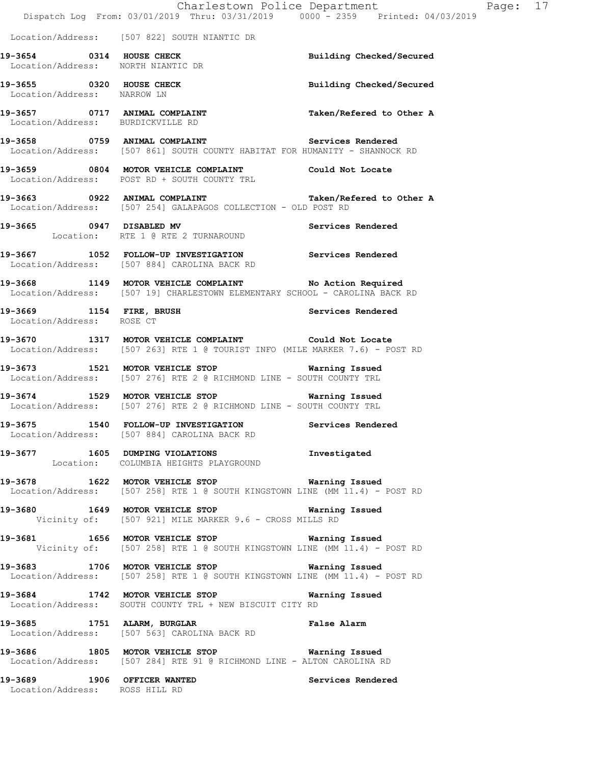|                                                                | Dispatch Log From: 03/01/2019 Thru: 03/31/2019 0000 - 2359 Printed: 04/03/2019                                                         | Charlestown Police Department<br>Page: 17 |  |
|----------------------------------------------------------------|----------------------------------------------------------------------------------------------------------------------------------------|-------------------------------------------|--|
|                                                                | Location/Address: [507 822] SOUTH NIANTIC DR                                                                                           |                                           |  |
| 19-3654 0314 HOUSE CHECK<br>Location/Address: NORTH NIANTIC DR |                                                                                                                                        | Building Checked/Secured                  |  |
| 19-3655 0320 HOUSE CHECK<br>Location/Address: NARROW LN        |                                                                                                                                        | Building Checked/Secured                  |  |
| Location/Address: BURDICKVILLE RD                              | 19-3657 0717 ANIMAL COMPLAINT                                                                                                          | Taken/Refered to Other A                  |  |
|                                                                | 19-3658 0759 ANIMAL COMPLAINT 1997 Services Rendered<br>Location/Address: [507 861] SOUTH COUNTY HABITAT FOR HUMANITY - SHANNOCK RD    |                                           |  |
|                                                                | 19-3659 0804 MOTOR VEHICLE COMPLAINT Could Not Locate<br>Location/Address: POST RD + SOUTH COUNTY TRL                                  |                                           |  |
|                                                                | 19-3663 		 0922 ANIMAL COMPLAINT 		 Taken/Refered to Other A<br>Location/Address: [507 254] GALAPAGOS COLLECTION - OLD POST RD         |                                           |  |
|                                                                | 19-3665 0947 DISABLED MV<br>Location: RTE 1 @ RTE 2 TURNAROUND                                                                         | Services Rendered                         |  |
|                                                                | 19-3667 1052 FOLLOW-UP INVESTIGATION Services Rendered<br>Location/Address: [507 884] CAROLINA BACK RD                                 |                                           |  |
|                                                                | 19-3668 1149 MOTOR VEHICLE COMPLAINT No Action Required<br>Location/Address: [507 19] CHARLESTOWN ELEMENTARY SCHOOL - CAROLINA BACK RD |                                           |  |
| Location/Address: ROSE CT                                      | 19-3669 1154 FIRE, BRUSH                                                                                                               | Services Rendered                         |  |
|                                                                | 19-3670 1317 MOTOR VEHICLE COMPLAINT Could Not Locate<br>Location/Address: [507 263] RTE 1 @ TOURIST INFO (MILE MARKER 7.6) - POST RD  |                                           |  |
|                                                                | 19-3673 1521 MOTOR VEHICLE STOP 6 Warning Issued<br>Location/Address: [507 276] RTE 2 @ RICHMOND LINE - SOUTH COUNTY TRL               |                                           |  |
|                                                                | 19-3674 1529 MOTOR VEHICLE STOP <b>Warning Issued</b><br>Location/Address: [507 276] RTE 2 @ RICHMOND LINE - SOUTH COUNTY TRL          |                                           |  |
| 19-3675                                                        | 1540 FOLLOW-UP INVESTIGATION<br>Location/Address: [507 884] CAROLINA BACK RD                                                           | Services Rendered                         |  |
|                                                                | 19-3677 1605 DUMPING VIOLATIONS 100 Investigated<br>Location: COLUMBIA HEIGHTS PLAYGROUND                                              |                                           |  |
|                                                                | 19-3678 1622 MOTOR VEHICLE STOP <b>Warning Issued</b><br>Location/Address: [507 258] RTE 1 @ SOUTH KINGSTOWN LINE (MM 11.4) - POST RD  |                                           |  |
|                                                                | 19-3680 1649 MOTOR VEHICLE STOP 19 Warning Issued<br>Vicinity of: [507 921] MILE MARKER 9.6 - CROSS MILLS RD                           |                                           |  |
|                                                                | 19-3681 1656 MOTOR VEHICLE STOP <b>Warning Issued</b><br>Vicinity of: [507 258] RTE 1 @ SOUTH KINGSTOWN LINE (MM 11.4) - POST RD       |                                           |  |
|                                                                | 19-3683 1706 MOTOR VEHICLE STOP 6 Warning Issued<br>Location/Address: [507 258] RTE 1 @ SOUTH KINGSTOWN LINE (MM 11.4) - POST RD       |                                           |  |
|                                                                | 19-3684 1742 MOTOR VEHICLE STOP 6 Warning Issued<br>Location/Address: SOUTH COUNTY TRL + NEW BISCUIT CITY RD                           |                                           |  |
|                                                                | 19-3685 1751 ALARM, BURGLAR 1999 1999 Palse Alarm<br>Location/Address: [507 563] CAROLINA BACK RD                                      |                                           |  |
|                                                                | 19-3686 1805 MOTOR VEHICLE STOP 6 Warning Issued<br>Location/Address: [507 284] RTE 91 @ RICHMOND LINE - ALTON CAROLINA RD             |                                           |  |
| 19-3689 1906 OFFICER WANTED<br>Location/Address: ROSS HILL RD  |                                                                                                                                        | Services Rendered                         |  |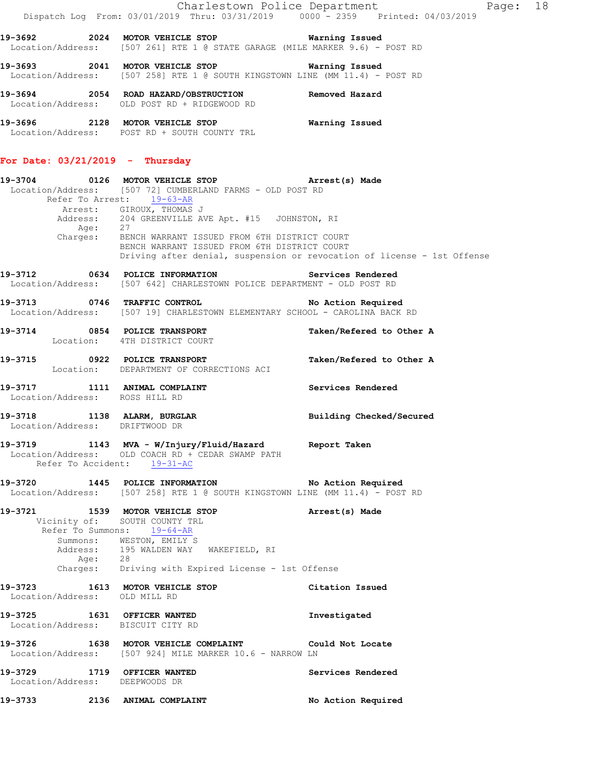|                                                |  |  | Charlestown Police Department   |  | Page: 18 |  |
|------------------------------------------------|--|--|---------------------------------|--|----------|--|
| Dispatch Log From: 03/01/2019 Thru: 03/31/2019 |  |  | 0000 - 2359 Printed: 04/03/2019 |  |          |  |

**19-3692 2024 MOTOR VEHICLE STOP Warning Issued**  Location/Address: [507 261] RTE 1 @ STATE GARAGE (MILE MARKER 9.6) - POST RD

**19-3693 2041 MOTOR VEHICLE STOP Warning Issued**  Location/Address: [507 258] RTE 1 @ SOUTH KINGSTOWN LINE (MM 11.4) - POST RD

**19-3694 2054 ROAD HAZARD/OBSTRUCTION Removed Hazard**  Location/Address: OLD POST RD + RIDGEWOOD RD

**19-3696 2128 MOTOR VEHICLE STOP Warning Issued**  Location/Address: POST RD + SOUTH COUNTY TRL

### **For Date: 03/21/2019 - Thursday**

**19-3704 0126 MOTOR VEHICLE STOP Arrest(s) Made**  Location/Address: [507 72] CUMBERLAND FARMS - OLD POST RD Refer To Arrest: 19-63-AR Arrest: GIROUX, THOMAS J 204 GREENVILLE AVE Apt. #15 JOHNSTON, RI<br>27 Address:<br>Age: Charges: BENCH WARRANT ISSUED FROM 6TH DISTRICT COURT BENCH WARRANT ISSUED FROM 6TH DISTRICT COURT Driving after denial, suspension or revocation of license - 1st Offense **19-3712 0634 POLICE INFORMATION Services Rendered**  Location/Address: [507 642] CHARLESTOWN POLICE DEPARTMENT - OLD POST RD **19-3713 0746 TRAFFIC CONTROL No Action Required**  Location/Address: [507 19] CHARLESTOWN ELEMENTARY SCHOOL - CAROLINA BACK RD **19-3714 0854 POLICE TRANSPORT Taken/Refered to Other A**  Location: 4TH DISTRICT COURT **19-3715 0922 POLICE TRANSPORT Taken/Refered to Other A**  Location: DEPARTMENT OF CORRECTIONS ACI 19-3717 1111 ANIMAL COMPLAINT **Services Rendered**  Location/Address: ROSS HILL RD **19-3718 1138 ALARM, BURGLAR Building Checked/Secured**  Location/Address: DRIFTWOOD DR **19-3719 1143 MVA - W/Injury/Fluid/Hazard Report Taken**  Location/Address: OLD COACH RD + CEDAR SWAMP PATH Refer To Accident: 19-31-AC **19-3720 1445 POLICE INFORMATION No Action Required**  Location/Address: [507 258] RTE 1 @ SOUTH KINGSTOWN LINE (MM 11.4) - POST RD **19-3721 1539 MOTOR VEHICLE STOP Arrest(s) Made**  Vicinity of: SOUTH COUNTY TRL Refer To Summons: 19-64-AR Summons: WESTON, EMILY S 195 WALDEN WAY WAKEFIELD, RI Address: 195<br>Age: 28 Charges: Driving with Expired License - 1st Offense **19-3723 1613 MOTOR VEHICLE STOP Citation Issued**  Location/Address: OLD MILL RD **19-3725 1631 OFFICER WANTED Investigated**  Location/Address: BISCUIT CITY RD **19-3726 1638 MOTOR VEHICLE COMPLAINT Could Not Locate**  Location/Address: [507 924] MILE MARKER 10.6 - NARROW LN **19-3729 1719 OFFICER WANTED Services Rendered**  Location/Address: DEEPWOODS DR **19-3733 2136 ANIMAL COMPLAINT No Action Required**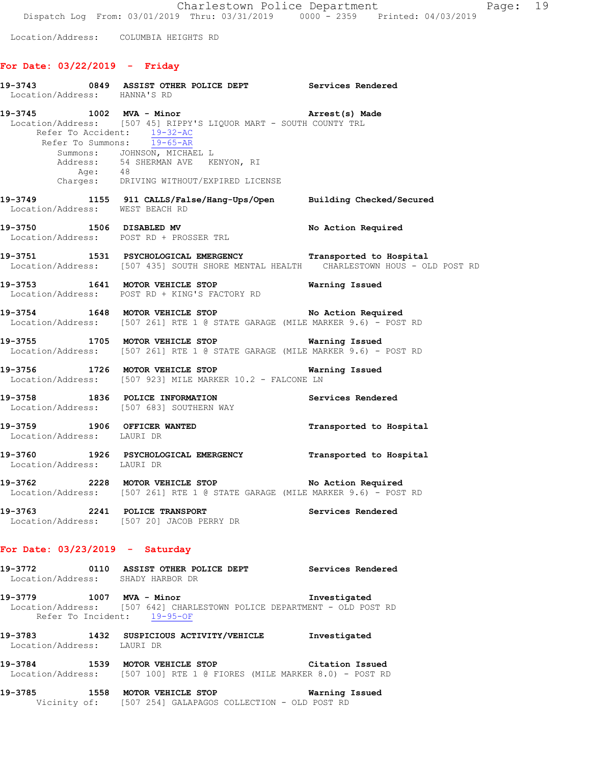Location/Address: COLUMBIA HEIGHTS RD

# **For Date: 03/22/2019 - Friday**

| Location/Address: HANNA'S RD                                                            | 19-3743 0849 ASSIST OTHER POLICE DEPT Services Rendered                                                                                                                                       |                         |
|-----------------------------------------------------------------------------------------|-----------------------------------------------------------------------------------------------------------------------------------------------------------------------------------------------|-------------------------|
| 19-3745 1002 MVA - Minor<br>Refer To Accident: $19-32-AC$<br>Refer To Summons: 19-65-AR | Location/Address: [507 45] RIPPY'S LIQUOR MART - SOUTH COUNTY TRL<br>Summons: JOHNSON, MICHAEL L<br>Address: 54 SHERMAN AVE KENYON, RI<br>Age: 48<br>Charges: DRIVING WITHOUT/EXPIRED LICENSE | Arrest(s) Made          |
| Location/Address: WEST BEACH RD                                                         | 19-3749 1155 911 CALLS/False/Hang-Ups/Open Building Checked/Secured                                                                                                                           |                         |
|                                                                                         | 19-3750 1506 DISABLED MV<br>Location/Address: POST RD + PROSSER TRL                                                                                                                           | No Action Required      |
|                                                                                         | 19-3751 1531 PSYCHOLOGICAL EMERGENCY Transported to Hospital<br>Location/Address: [507 435] SOUTH SHORE MENTAL HEALTH CHARLESTOWN HOUS - OLD POST RD                                          |                         |
|                                                                                         | 19-3753 1641 MOTOR VEHICLE STOP 19-3753<br>Location/Address: POST RD + KING'S FACTORY RD                                                                                                      |                         |
|                                                                                         | 19-3754 1648 MOTOR VEHICLE STOP No Action Required<br>Location/Address: [507 261] RTE 1 @ STATE GARAGE (MILE MARKER 9.6) - POST RD                                                            |                         |
|                                                                                         | 19-3755 1705 MOTOR VEHICLE STOP <b>WATER</b> Warning Issued<br>Location/Address: [507 261] RTE 1 @ STATE GARAGE (MILE MARKER 9.6) - POST RD                                                   |                         |
|                                                                                         | 19-3756 1726 MOTOR VEHICLE STOP Warning Issued<br>Location/Address: [507 923] MILE MARKER 10.2 - FALCONE LN                                                                                   |                         |
| 19-3758 1836 POLICE INFORMATION                                                         | Location/Address: [507 683] SOUTHERN WAY                                                                                                                                                      | Services Rendered       |
| Location/Address: LAURI DR                                                              | 19-3759 1906 OFFICER WANTED                                                                                                                                                                   | Transported to Hospital |
| Location/Address: LAURI DR                                                              | 19-3760 1926 PSYCHOLOGICAL EMERGENCY Transported to Hospital                                                                                                                                  |                         |
|                                                                                         | 19-3762 2228 MOTOR VEHICLE STOP No Action Required<br>Location/Address: [507 261] RTE 1 @ STATE GARAGE (MILE MARKER 9.6) - POST RD                                                            |                         |
|                                                                                         | 19-3763 2241 POLICE TRANSPORT Services Rendered<br>Location/Address: [507 20] JACOB PERRY DR                                                                                                  |                         |
| For Date: $03/23/2019$ - Saturday                                                       |                                                                                                                                                                                               |                         |
| Location/Address: SHADY HARBOR DR                                                       | 19-3772   0110   ASSIST OTHER POLICE DEPT   Services Rendered                                                                                                                                 |                         |
| Refer To Incident: 19-95-OF                                                             | 19-3779 1007 MVA - Minor<br>Location/Address: [507 642] CHARLESTOWN POLICE DEPARTMENT - OLD POST RD                                                                                           | Investigated            |
| Location/Address: LAURI DR                                                              | 19-3783 1432 SUSPICIOUS ACTIVITY/VEHICLE Investigated                                                                                                                                         |                         |
|                                                                                         | 19-3784 1539 MOTOR VEHICLE STOP Citation Issued<br>Location/Address: [507 100] RTE 1 @ FIORES (MILE MARKER 8.0) - POST RD                                                                     |                         |
| 19-3785 1558 MOTOR VEHICLE STOP                                                         | Vicinity of: [507 254] GALAPAGOS COLLECTION - OLD POST RD                                                                                                                                     | Warning Issued          |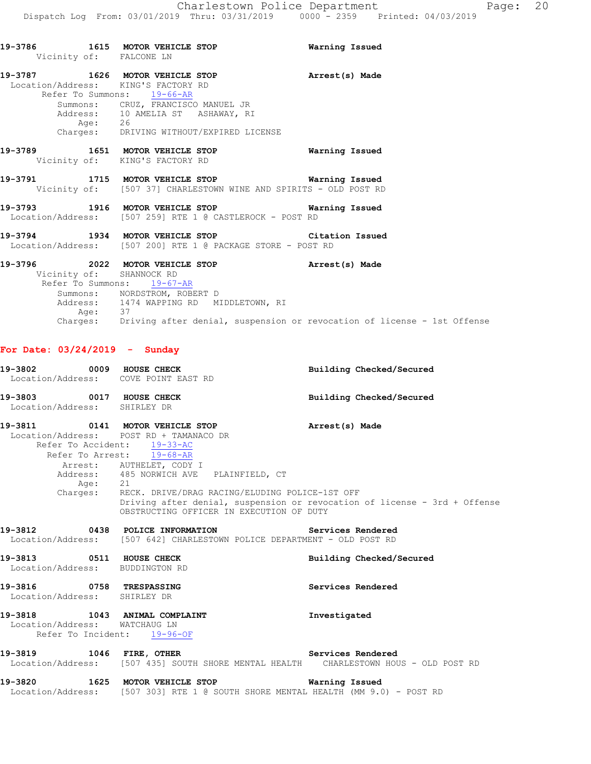**19-3786 1615 MOTOR VEHICLE STOP Warning Issued**  Vicinity of: FALCONE LN **19-3787 1626 MOTOR VEHICLE STOP Arrest(s) Made**  Location/Address: KING'S FACTORY RD Refer To Summons: 19-66-AR Summons: CRUZ, FRANCISCO MANUEL JR Address: 10 AMELIA ST ASHAWAY, RI Age: 26<br>Charges: DRI DRIVING WITHOUT/EXPIRED LICENSE **19-3789 1651 MOTOR VEHICLE STOP Warning Issued**  Vicinity of: KING'S FACTORY RD **19-3791 1715 MOTOR VEHICLE STOP Warning Issued**  Vicinity of: [507 37] CHARLESTOWN WINE AND SPIRITS - OLD POST RD **19-3793 1916 MOTOR VEHICLE STOP Warning Issued**  Location/Address: [507 259] RTE 1 @ CASTLEROCK - POST RD

**19-3794 1934 MOTOR VEHICLE STOP Citation Issued**  Location/Address: [507 200] RTE 1 @ PACKAGE STORE - POST RD

### **19-3796 2022 MOTOR VEHICLE STOP Arrest(s) Made**  Vicinity of: SHANNOCK RD Refer To Summons: 19-67-AR Summons: NORDSTROM, ROBERT D Address: 1474 WAPPING RD MIDDLETOWN, RI Age: 37 Charges: Driving after denial, suspension or revocation of license - 1st Offense

## **For Date: 03/24/2019 - Sunday**

**19-3802 0009 HOUSE CHECK Building Checked/Secured**  Location/Address: COVE POINT EAST RD **19-3803 0017 HOUSE CHECK Building Checked/Secured**  Location/Address: SHIRLEY DR **19-3811 0141 MOTOR VEHICLE STOP Arrest(s) Made**  Location/Address: POST RD + TAMANACO DR Refer To Accident: 19-33-AC Refer To Arrest: 19-68-AR Arrest: AUTHELET, CODY I Address: 485 NORWICH AVE PLAINFIELD, CT Age: 21 Charges: RECK. DRIVE/DRAG RACING/ELUDING POLICE-1ST OFF Driving after denial, suspension or revocation of license - 3rd + Offense OBSTRUCTING OFFICER IN EXECUTION OF DUTY **19-3812 0438 POLICE INFORMATION Services Rendered**  Location/Address: [507 642] CHARLESTOWN POLICE DEPARTMENT - OLD POST RD **19-3813 0511 HOUSE CHECK Building Checked/Secured**  Location/Address: BUDDINGTON RD **19-3816 0758 TRESPASSING Services Rendered**  Location/Address: SHIRLEY DR **19-3818 1043 ANIMAL COMPLAINT Investigated**  Location/Address: WATCHAUG LN Refer To Incident: 19-96-OF **19-3819 1046 FIRE, OTHER Services Rendered**  Location/Address: [507 435] SOUTH SHORE MENTAL HEALTH CHARLESTOWN HOUS - OLD POST RD **19-3820 1625 MOTOR VEHICLE STOP Warning Issued**  Location/Address: [507 303] RTE 1 @ SOUTH SHORE MENTAL HEALTH (MM 9.0) - POST RD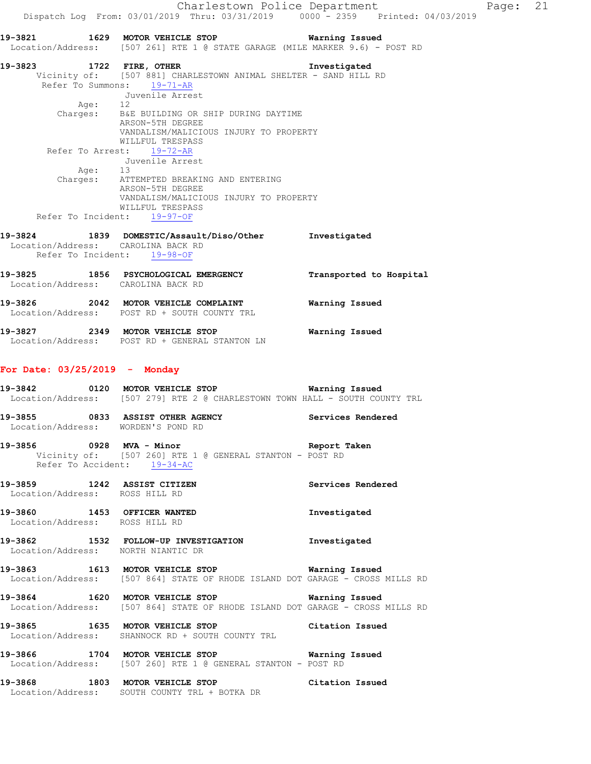Charlestown Police Department Fage: 21 Dispatch Log From: 03/01/2019 Thru: 03/31/2019 0000 - 2359 Printed: 04/03/2019 **19-3821 1629 MOTOR VEHICLE STOP Warning Issued**  Location/Address: [507 261] RTE 1 @ STATE GARAGE (MILE MARKER 9.6) - POST RD **19-3823 1722 FIRE, OTHER Investigated**  Vicinity of: [507 881] CHARLESTOWN ANIMAL SHELTER - SAND HILL RD Refer To Summons: 19-71-AR Juvenile Arrest Age: 12 Charges: B&E BUILDING OR SHIP DURING DAYTIME ARSON-5TH DEGREE VANDALISM/MALICIOUS INJURY TO PROPERTY WILLFUL TRESPASS Refer To Arrest: 19-72-AR Juvenile Arrest Age: 13 Charges: ATTEMPTED BREAKING AND ENTERING ARSON-5TH DEGREE VANDALISM/MALICIOUS INJURY TO PROPERTY WILLFUL TRESPASS Refer To Incident: 19-97-OF **19-3824 1839 DOMESTIC/Assault/Diso/Other Investigated**  Location/Address: CAROLINA BACK RD Refer To Incident: 19-98-OF **19-3825 1856 PSYCHOLOGICAL EMERGENCY Transported to Hospital**  Location/Address: CAROLINA BACK RD **19-3826 2042 MOTOR VEHICLE COMPLAINT Warning Issued**  Location/Address: POST RD + SOUTH COUNTY TRL **19-3827 2349 MOTOR VEHICLE STOP Warning Issued**  Location/Address: POST RD + GENERAL STANTON LN **For Date: 03/25/2019 - Monday 19-3842 0120 MOTOR VEHICLE STOP Warning Issued**  Location/Address: [507 279] RTE 2 @ CHARLESTOWN TOWN HALL - SOUTH COUNTY TRL **19-3855 0833 ASSIST OTHER AGENCY Services Rendered**  Location/Address: WORDEN'S POND RD **19-3856 0928 MVA - Minor Report Taken**  Vicinity of: [507 260] RTE 1 @ GENERAL STANTON - POST RD Refer To Accident: 19-34-AC **19-3859 1242 ASSIST CITIZEN Services Rendered**  Location/Address: ROSS HILL RD **19-3860 1453 OFFICER WANTED Investigated**  Location/Address: ROSS HILL RD **19-3862 1532 FOLLOW-UP INVESTIGATION Investigated**  Location/Address: NORTH NIANTIC DR **19-3863 1613 MOTOR VEHICLE STOP Warning Issued**  Location/Address: [507 864] STATE OF RHODE ISLAND DOT GARAGE - CROSS MILLS RD **19-3864 1620 MOTOR VEHICLE STOP Warning Issued**  Location/Address: [507 864] STATE OF RHODE ISLAND DOT GARAGE - CROSS MILLS RD **19-3865 1635 MOTOR VEHICLE STOP Citation Issued**  Location/Address: SHANNOCK RD + SOUTH COUNTY TRL **19-3866 1704 MOTOR VEHICLE STOP Warning Issued**  Location/Address: [507 260] RTE 1 @ GENERAL STANTON - POST RD **19-3868 1803 MOTOR VEHICLE STOP Citation Issued** 

Location/Address: SOUTH COUNTY TRL + BOTKA DR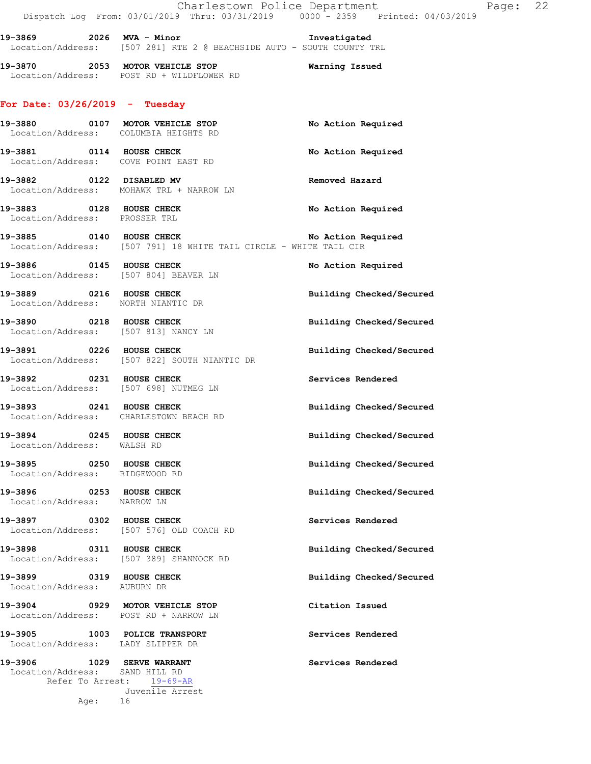**19-3869 2026 MVA - Minor Investigated**  Location/Address: [507 281] RTE 2 @ BEACHSIDE AUTO - SOUTH COUNTY TRL

**19-3870 2053 MOTOR VEHICLE STOP Warning Issued**  Location/Address: POST RD + WILDFLOWER RD

## **For Date: 03/26/2019 - Tuesday**

Age: 16

| 19-3880 0107 MOTOR VEHICLE STOP<br>Location/Address: COLUMBIA HEIGHTS RD |                                                                                               | No Action Required       |
|--------------------------------------------------------------------------|-----------------------------------------------------------------------------------------------|--------------------------|
| 19-3881 0114 HOUSE CHECK<br>Location/Address: COVE POINT EAST RD         |                                                                                               | No Action Required       |
|                                                                          | 19-3882 0122 DISABLED MV<br>  Location/Address: MOHAWK TRL + NARROW LN                        | Removed Hazard           |
| 19-3883 0128 HOUSE CHECK<br>Location/Address: PROSSER TRL                |                                                                                               | No Action Required       |
|                                                                          | 19-3885 0140 HOUSE CHECK<br>Location/Address: [507 791] 18 WHITE TAIL CIRCLE - WHITE TAIL CIR | No Action Required       |
| 19-3886 0145 HOUSE CHECK                                                 | Location/Address: [507 804] BEAVER LN                                                         | No Action Required       |
| 19-3889 0216 HOUSE CHECK<br>Location/Address: NORTH NIANTIC DR           |                                                                                               | Building Checked/Secured |
| 19-3890 0218 HOUSE CHECK<br>Location/Address: [507 813] NANCY LN         |                                                                                               | Building Checked/Secured |
|                                                                          | 19-3891 0226 HOUSE CHECK<br>Location/Address: [507 822] SOUTH NIANTIC DR                      | Building Checked/Secured |
| 19-3892 0231 HOUSE CHECK<br>Location/Address: [507 698] NUTMEG LN        |                                                                                               | Services Rendered        |
| 19-3893 0241 HOUSE CHECK<br>Location/Address: CHARLESTOWN BEACH RD       |                                                                                               | Building Checked/Secured |
| 19-3894 0245 HOUSE CHECK<br>Location/Address: WALSH RD                   |                                                                                               | Building Checked/Secured |
| 19-3895 0250 HOUSE CHECK<br>Location/Address: RIDGEWOOD RD               |                                                                                               | Building Checked/Secured |
| 19-3896 0253 HOUSE CHECK<br>Location/Address: NARROW LN                  |                                                                                               | Building Checked/Secured |
| 19-3897 0302 HOUSE CHECK                                                 | Location/Address: [507 576] OLD COACH RD                                                      | Services Rendered        |
| 19-3898 0311 HOUSE CHECK                                                 | Location/Address: [507 389] SHANNOCK RD                                                       | Building Checked/Secured |
| 19-3899 0319 HOUSE CHECK<br>Location/Address: AUBURN DR                  |                                                                                               | Building Checked/Secured |
| 19-3904 0929 MOTOR VEHICLE STOP                                          | Location/Address: POST RD + NARROW LN                                                         | Citation Issued          |
| 19-3905 1003 POLICE TRANSPORT<br>Location/Address: LADY SLIPPER DR       |                                                                                               | Services Rendered        |
| 19-3906<br>Location/Address: SAND HILL RD                                | 1029 SERVE WARRANT<br>Refer To Arrest: 19-69-AR                                               | Services Rendered        |
|                                                                          | Juvenile Arrest                                                                               |                          |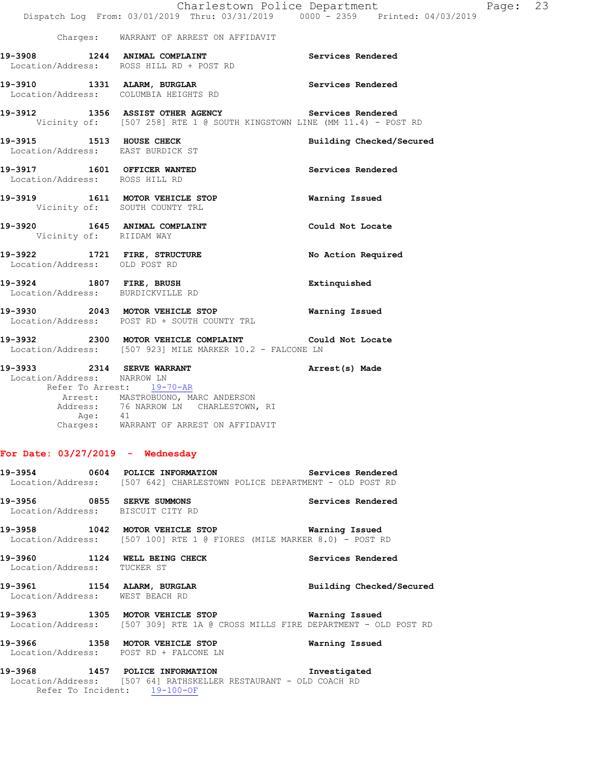|                                                          | Charlestown Police Department<br>Dispatch Log From: 03/01/2019 Thru: 03/31/2019 0000 - 2359 Printed: 04/03/2019               |                          |
|----------------------------------------------------------|-------------------------------------------------------------------------------------------------------------------------------|--------------------------|
|                                                          |                                                                                                                               |                          |
|                                                          | Charges: WARRANT OF ARREST ON AFFIDAVIT                                                                                       |                          |
|                                                          | 19-3908 1244 ANIMAL COMPLAINT Services Rendered<br>Location/Address: ROSS HILL RD + POST RD                                   |                          |
|                                                          | 19-3910 1331 ALARM, BURGLAR Services Rendered Location/Address: COLUMBIA HEIGHTS RD                                           |                          |
|                                                          | 19-3912 1356 ASSIST OTHER AGENCY Services Rendered<br>Vicinity of: [507 258] RTE 1 @ SOUTH KINGSTOWN LINE (MM 11.4) - POST RD |                          |
|                                                          | 19-3915 1513 HOUSE CHECK<br>Location/Address: EAST BURDICK ST                                                                 | Building Checked/Secured |
| Location/Address: ROSS HILL RD                           | 19-3917 1601 OFFICER WANTED Services Rendered                                                                                 |                          |
|                                                          | 19-3919 1611 MOTOR VEHICLE STOP 19 Warning Issued<br>Vicinity of: SOUTH COUNTY TRL                                            |                          |
|                                                          | 19-3920 1645 ANIMAL COMPLAINT Could Not Locate<br>Vicinity of: RIIDAM WAY                                                     |                          |
| Location/Address: OLD POST RD                            | 19-3922 1721 FIRE, STRUCTURE                                                                                                  | No Action Required       |
|                                                          | 19-3924 1807 FIRE, BRUSH<br>Location/Address: BURDICKVILLE RD                                                                 | Extinquished             |
|                                                          | 19-3930 2043 MOTOR VEHICLE STOP <b>WATER WATER</b><br>Location/Address: POST RD + SOUTH COUNTY TRL                            |                          |
|                                                          | 19-3932 2300 MOTOR VEHICLE COMPLAINT Could Not Locate<br>Location/Address: [507 923] MILE MARKER 10.2 - FALCONE LN            |                          |
| Location/Address: NARROW LN<br>Refer To Arrest: 19-70-AR | 19-3933 2314 SERVE WARRANT                                                                                                    | Arrest(s) Made           |

 Arrest: MASTROBUONO, MARC ANDERSON Address: 76 NARROW LN CHARLESTOWN, RI Age: 41 Charges: WARRANT OF ARREST ON AFFIDAVIT

## **For Date: 03/27/2019 - Wednesday**

|                                 | 19-3954 0604 POLICE INFORMATION Services Rendered<br>Location/Address: [507 642] CHARLESTOWN POLICE DEPARTMENT - OLD POST RD                             |                   |
|---------------------------------|----------------------------------------------------------------------------------------------------------------------------------------------------------|-------------------|
|                                 | Location/Address: BISCUIT CITY RD                                                                                                                        |                   |
|                                 | 19-3958 1042 MOTOR VEHICLE STOP <b>Warning Issued</b><br>Location/Address: [507 100] RTE 1 @ FIORES (MILE MARKER 8.0) - POST RD                          |                   |
| Location/Address: TUCKER ST     | 19-3960 1124 WELL BEING CHECK                                                                                                                            | Services Rendered |
| Location/Address: WEST BEACH RD | 19-3961 1154 ALARM, BURGLAR BURGER Building Checked/Secured                                                                                              |                   |
|                                 | 19-3963 1305 MOTOR VEHICLE STOP <b>Warning Issued</b><br>Location/Address: [507 309] RTE 1A @ CROSS MILLS FIRE DEPARTMENT - OLD POST RD                  |                   |
|                                 | 19-3966 1358 MOTOR VEHICLE STOP 6 Warning Issued<br>Location/Address: POST RD + FALCONE LN                                                               |                   |
|                                 | 19-3968 1457 POLICE INFORMATION 19-3968 Investigated<br>Location/Address: [507 64] RATHSKELLER RESTAURANT - OLD COACH RD<br>Refer To Incident: 19-100-OF |                   |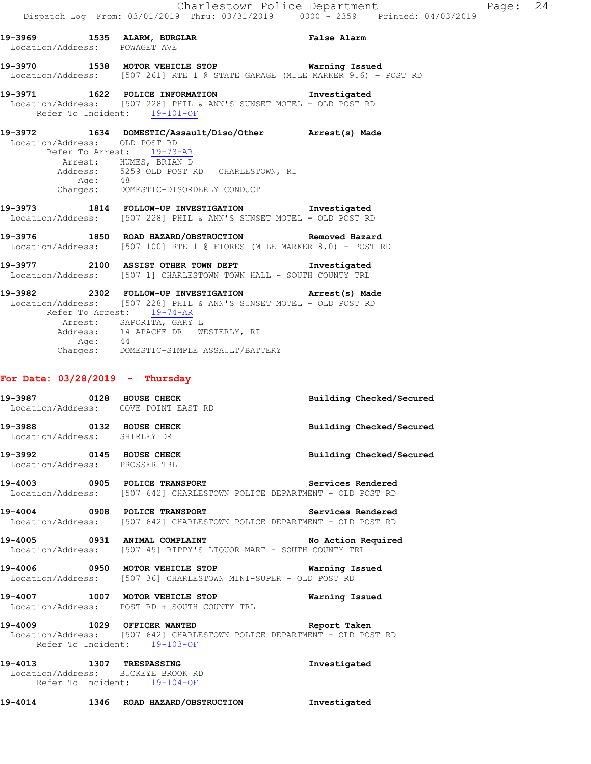**19-3970 1538 MOTOR VEHICLE STOP Warning Issued**  Location/Address: [507 261] RTE 1 @ STATE GARAGE (MILE MARKER 9.6) - POST RD

## **19-3971 1622 POLICE INFORMATION Investigated**  Location/Address: [507 228] PHIL & ANN'S SUNSET MOTEL - OLD POST RD Refer To Incident: 19-101-OF

- **19-3972 1634 DOMESTIC/Assault/Diso/Other Arrest(s) Made**  Location/Address: OLD POST RD Refer To Arrest: 19-73-AR Arrest: HUMES, BRIAN D<br>Address: 5259 OLD POST P 5259 OLD POST RD CHARLESTOWN, RI Age: 48 Charges: DOMESTIC-DISORDERLY CONDUCT
- **19-3973 1814 FOLLOW-UP INVESTIGATION Investigated**  Location/Address: [507 228] PHIL & ANN'S SUNSET MOTEL - OLD POST RD
- **19-3976 1850 ROAD HAZARD/OBSTRUCTION Removed Hazard**  Location/Address: [507 100] RTE 1 @ FIORES (MILE MARKER 8.0) - POST RD
- **19-3977 2100 ASSIST OTHER TOWN DEPT Investigated**  Location/Address: [507 1] CHARLESTOWN TOWN HALL - SOUTH COUNTY TRL
- **19-3982 2302 FOLLOW-UP INVESTIGATION Arrest(s) Made**  Location/Address: [507 228] PHIL & ANN'S SUNSET MOTEL - OLD POST RD Refer To Arrest: 19-74-AR Arrest: SAPORITA, GARY L Address: 14 APACHE DR WESTERLY, RI<br>Age: 44 Age: 44 Charges: DOMESTIC-SIMPLE ASSAULT/BATTERY

## **For Date: 03/28/2019 - Thursday**

- **19-3987 0128 HOUSE CHECK Building Checked/Secured**  Location/Address: COVE POINT EAST RD **19-3988 0132 HOUSE CHECK Building Checked/Secured**  Location/Address: SHIRLEY DR
- **19-3992 0145 HOUSE CHECK Building Checked/Secured**  Location/Address: PROSSER TRL
- **19-4003 0905 POLICE TRANSPORT Services Rendered**  Location/Address: [507 642] CHARLESTOWN POLICE DEPARTMENT - OLD POST RD
- **19-4004 0908 POLICE TRANSPORT Services Rendered**  Location/Address: [507 642] CHARLESTOWN POLICE DEPARTMENT - OLD POST RD
- **19-4005 0931 ANIMAL COMPLAINT No Action Required**  Location/Address: [507 45] RIPPY'S LIQUOR MART - SOUTH COUNTY TRL
- **19-4006 0950 MOTOR VEHICLE STOP Warning Issued**  Location/Address: [507 36] CHARLESTOWN MINI-SUPER - OLD POST RD
- **19-4007 1007 MOTOR VEHICLE STOP Warning Issued**  Location/Address: POST RD + SOUTH COUNTY TRL
- **19-4009 1029 OFFICER WANTED Report Taken**  Location/Address: [507 642] CHARLESTOWN POLICE DEPARTMENT - OLD POST RD Refer To Incident: 19-103-OF

**19-4013 1307 TRESPASSING Investigated**  Location/Address: BUCKEYE BROOK RD Refer To Incident: 19-104-OF

**19-4014 1346 ROAD HAZARD/OBSTRUCTION Investigated**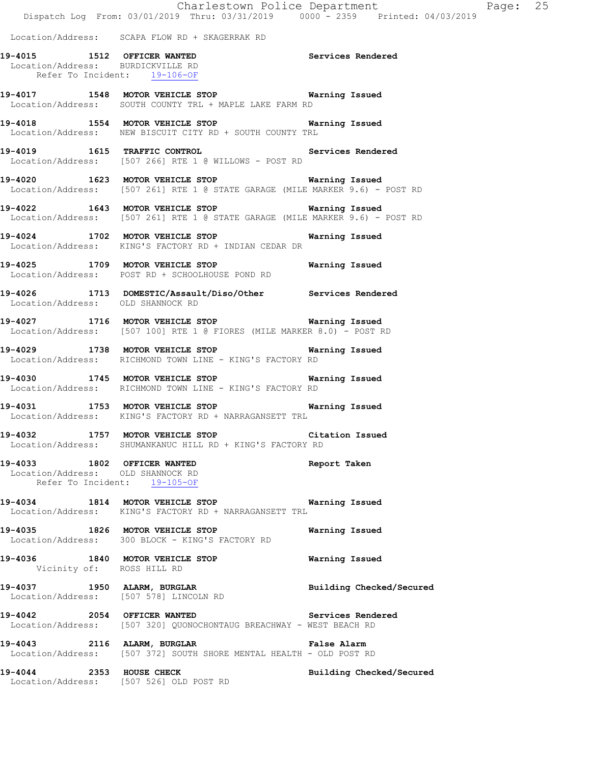Charlestown Police Department Page: 25 Dispatch Log From: 03/01/2019 Thru: 03/31/2019 0000 - 2359 Printed: 04/03/2019 Location/Address: SCAPA FLOW RD + SKAGERRAK RD **19-4015 1512 OFFICER WANTED Services Rendered**  Location/Address: BURDICKVILLE RD Refer To Incident: 19-106-OF **19-4017 1548 MOTOR VEHICLE STOP Warning Issued**  Location/Address: SOUTH COUNTY TRL + MAPLE LAKE FARM RD **19-4018 1554 MOTOR VEHICLE STOP Warning Issued**  Location/Address: NEW BISCUIT CITY RD + SOUTH COUNTY TRL **19-4019 1615 TRAFFIC CONTROL Services Rendered**  Location/Address: [507 266] RTE 1 @ WILLOWS - POST RD **19-4020 1623 MOTOR VEHICLE STOP Warning Issued**  Location/Address: [507 261] RTE 1 @ STATE GARAGE (MILE MARKER 9.6) - POST RD **19-4022 1643 MOTOR VEHICLE STOP Warning Issued**  Location/Address: [507 261] RTE 1 @ STATE GARAGE (MILE MARKER 9.6) - POST RD **19-4024 1702 MOTOR VEHICLE STOP Warning Issued**  Location/Address: KING'S FACTORY RD + INDIAN CEDAR DR **19-4025 1709 MOTOR VEHICLE STOP Warning Issued**  Location/Address: POST RD + SCHOOLHOUSE POND RD **19-4026 1713 DOMESTIC/Assault/Diso/Other Services Rendered Location/Address:** OLD SHANNOCK RD Location/Address: **19-4027 1716 MOTOR VEHICLE STOP Warning Issued**  Location/Address: [507 100] RTE 1 @ FIORES (MILE MARKER 8.0) - POST RD **19-4029 1738 MOTOR VEHICLE STOP Warning Issued**  Location/Address: RICHMOND TOWN LINE - KING'S FACTORY RD **19-4030 1745 MOTOR VEHICLE STOP Warning Issued**  Location/Address: RICHMOND TOWN LINE - KING'S FACTORY RD **19-4031 1753 MOTOR VEHICLE STOP Warning Issued**  Location/Address: KING'S FACTORY RD + NARRAGANSETT TRL **19-4032 1757 MOTOR VEHICLE STOP Citation Issued**  Location/Address: SHUMANKANUC HILL RD + KING'S FACTORY RD **19-4033 1802 OFFICER WANTED Report Taken**  Location/Address: OLD SHANNOCK RD Refer To Incident: 19-105-OF **19-4034 1814 MOTOR VEHICLE STOP Warning Issued**  Location/Address: KING'S FACTORY RD + NARRAGANSETT TRL **19-4035 1826 MOTOR VEHICLE STOP Warning Issued**  Location/Address: 300 BLOCK - KING'S FACTORY RD **19-4036 1840 MOTOR VEHICLE STOP Warning Issued**  Vicinity of: ROSS HILL RD **19-4037 1950 ALARM, BURGLAR Building Checked/Secured**  Location/Address: [507 578] LINCOLN RD **19-4042 2054 OFFICER WANTED Services Rendered**  Location/Address: [507 320] QUONOCHONTAUG BREACHWAY - WEST BEACH RD **19-4043 2116 ALARM, BURGLAR False Alarm**  Location/Address: [507 372] SOUTH SHORE MENTAL HEALTH - OLD POST RD **19-4044 2353 HOUSE CHECK Building Checked/Secured**  Location/Address: [507 526] OLD POST RD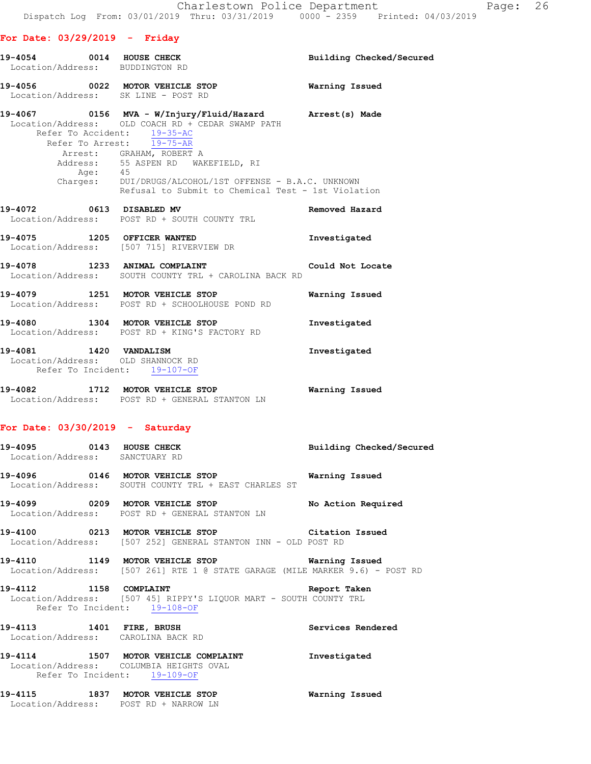## **For Date: 03/29/2019 - Friday**

| 19-4054 0014 HOUSE CHECK<br>Location/Address: BUDDINGTON RD    |                                                                                                                                                                                                                                                                                                                                                              | Building Checked/Secured |
|----------------------------------------------------------------|--------------------------------------------------------------------------------------------------------------------------------------------------------------------------------------------------------------------------------------------------------------------------------------------------------------------------------------------------------------|--------------------------|
|                                                                | 19-4056 0022 MOTOR VEHICLE STOP 6 Warning Issued<br>Location/Address: SK LINE - POST RD                                                                                                                                                                                                                                                                      |                          |
|                                                                | 19-4067 0156 MVA - W/Injury/Fluid/Hazard Arrest(s) Made<br>Location/Address: OLD COACH RD + CEDAR SWAMP PATH<br>Refer To Accident: $\frac{19-35-AC}{19-75-AR}$<br>Arrest: GRAHAM, ROBERT A<br>Address: 55 ASPEN RD WAKEFIELD, RI<br>Age: 45<br>Charges: DUI/DRUGS/ALCOHOL/1ST OFFENSE - B.A.C. UNKNOWN<br>Refusal to Submit to Chemical Test - 1st Violation |                          |
|                                                                | 19-4072 0613 DISABLED MV<br>Location/Address: POST RD + SOUTH COUNTY TRL                                                                                                                                                                                                                                                                                     | Removed Hazard           |
|                                                                | 19-4075 1205 OFFICER WANTED<br>Location/Address: [507 715] RIVERVIEW DR                                                                                                                                                                                                                                                                                      | Investigated             |
|                                                                | 19-4078 1233 ANIMAL COMPLAINT<br>Location/Address: SOUTH COUNTY TRL + CAROLINA BACK RD                                                                                                                                                                                                                                                                       | Could Not Locate         |
|                                                                | 19-4079 1251 MOTOR VEHICLE STOP<br>Location/Address: POST RD + SCHOOLHOUSE POND RD                                                                                                                                                                                                                                                                           | Warning Issued           |
|                                                                | 19-4080 1304 MOTOR VEHICLE STOP<br>Location/Address: POST RD + KING'S FACTORY RD                                                                                                                                                                                                                                                                             | Investigated             |
| Location/Address: OLD SHANNOCK RD                              | 19-4081    1420    VANDALISM<br>Refer To Incident: 19-107-OF                                                                                                                                                                                                                                                                                                 | Investigated             |
|                                                                | 19-4082 1712 MOTOR VEHICLE STOP<br>Location/Address: POST RD + GENERAL STANTON LN                                                                                                                                                                                                                                                                            | <b>Warning Issued</b>    |
| For Date: $03/30/2019$ - Saturday                              |                                                                                                                                                                                                                                                                                                                                                              |                          |
| 19-4095 0143 HOUSE CHECK<br>Location/Address: SANCTUARY RD     |                                                                                                                                                                                                                                                                                                                                                              | Building Checked/Secured |
|                                                                | 19-4096 0146 MOTOR VEHICLE STOP<br>Location/Address: SOUTH COUNTY TRL + EAST CHARLES ST                                                                                                                                                                                                                                                                      | Warning Issued           |
|                                                                | 19-4099 0209 MOTOR VEHICLE STOP<br>Location/Address: POST RD + GENERAL STANTON LN                                                                                                                                                                                                                                                                            | No Action Required       |
|                                                                | 19-4100 0213 MOTOR VEHICLE STOP<br>Location/Address: [507 252] GENERAL STANTON INN - OLD POST RD                                                                                                                                                                                                                                                             | Citation Issued          |
|                                                                | 19-4110 1149 MOTOR VEHICLE STOP 6 Warning Issued<br>Location/Address: [507 261] RTE 1 @ STATE GARAGE (MILE MARKER 9.6) - POST RD                                                                                                                                                                                                                             |                          |
| 19-4112 1158 COMPLAINT                                         | Location/Address: [507 45] RIPPY'S LIQUOR MART - SOUTH COUNTY TRL<br>Refer To Incident: 19-108-OF                                                                                                                                                                                                                                                            | Report Taken             |
| 19-4113 1401 FIRE, BRUSH<br>Location/Address: CAROLINA BACK RD |                                                                                                                                                                                                                                                                                                                                                              | Services Rendered        |
|                                                                | 19-4114 1507 MOTOR VEHICLE COMPLAINT<br>Location/Address: COLUMBIA HEIGHTS OVAL<br>Refer To Incident: 19-109-OF                                                                                                                                                                                                                                              | Investigated             |
|                                                                | 19-4115 1837 MOTOR VEHICLE STOP<br>Location/Address: POST RD + NARROW LN                                                                                                                                                                                                                                                                                     | Warning Issued           |